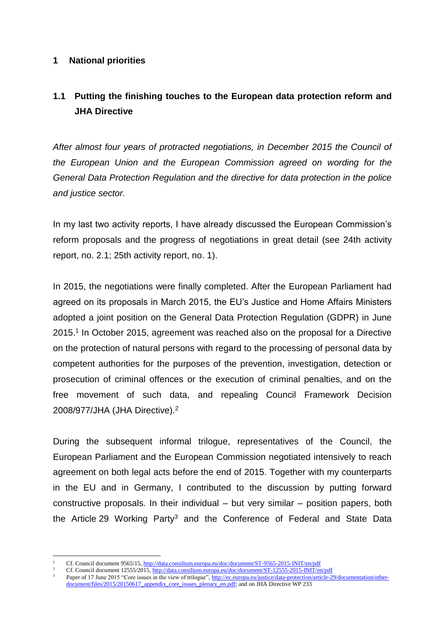### **1 National priorities**

# **1.1 Putting the finishing touches to the European data protection reform and JHA Directive**

*After almost four years of protracted negotiations, in December 2015 the Council of the European Union and the European Commission agreed on wording for the General Data Protection Regulation and the directive for data protection in the police and justice sector.*

In my last two activity reports, I have already discussed the European Commission's reform proposals and the progress of negotiations in great detail (see 24th activity report, no. 2.1; 25th activity report, no. 1).

In 2015, the negotiations were finally completed. After the European Parliament had agreed on its proposals in March 2015, the EU's Justice and Home Affairs Ministers adopted a joint position on the General Data Protection Regulation (GDPR) in June 2015.<sup>1</sup> In October 2015, agreement was reached also on the proposal for a Directive on the protection of natural persons with regard to the processing of personal data by competent authorities for the purposes of the prevention, investigation, detection or prosecution of criminal offences or the execution of criminal penalties, and on the free movement of such data, and repealing Council Framework Decision 2008/977/JHA (JHA Directive).<sup>2</sup>

During the subsequent informal trilogue, representatives of the Council, the European Parliament and the European Commission negotiated intensively to reach agreement on both legal acts before the end of 2015. Together with my counterparts in the EU and in Germany, I contributed to the discussion by putting forward constructive proposals. In their individual – but very similar – position papers, both the Article 29 Working Party<sup>3</sup> and the Conference of Federal and State Data

 $\overline{a}$ <sup>1</sup> Cf. Council document 9565/15,<http://data.consilium.europa.eu/doc/document/ST-9565-2015-INIT/en/pdf>

<sup>2&</sup>lt;br>2 Cf. Council document 12555/2015,<http://data.consilium.europa.eu/doc/document/ST-12555-2015-INIT/en/pdf><br>3 Denes of 17 June 2015 "Cere issues in the uieu of trilogue" http://go.guegeo.gu/institucidate arctestica/erticle

Paper of 17 June 2015 "Core issues in the view of trilogue"[, http://ec.europa.eu/justice/data-protection/article-29/documentation/other](http://ec.europa.eu/justice/data-protection/article-29/documentation/other-document/files/2015/20150617_appendix_core_issues_plenary_en.pdf)[document/files/2015/20150617\\_appendix\\_core\\_issues\\_plenary\\_en.pdf;](http://ec.europa.eu/justice/data-protection/article-29/documentation/other-document/files/2015/20150617_appendix_core_issues_plenary_en.pdf) and on JHA Directive WP 233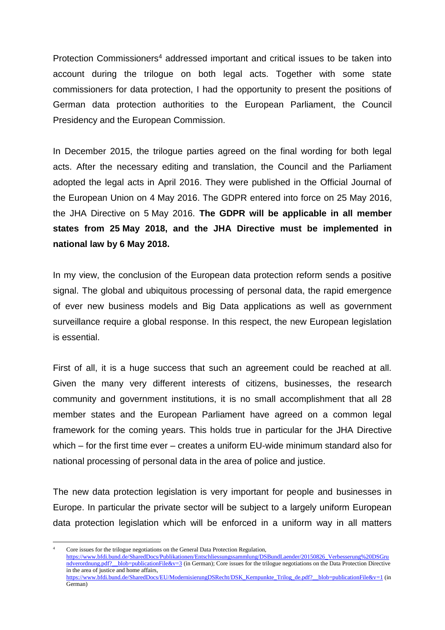Protection Commissioners<sup>4</sup> addressed important and critical issues to be taken into account during the trilogue on both legal acts. Together with some state commissioners for data protection, I had the opportunity to present the positions of German data protection authorities to the European Parliament, the Council Presidency and the European Commission.

In December 2015, the trilogue parties agreed on the final wording for both legal acts. After the necessary editing and translation, the Council and the Parliament adopted the legal acts in April 2016. They were published in the Official Journal of the European Union on 4 May 2016. The GDPR entered into force on 25 May 2016, the JHA Directive on 5 May 2016. **The GDPR will be applicable in all member states from 25 May 2018, and the JHA Directive must be implemented in national law by 6 May 2018.**

In my view, the conclusion of the European data protection reform sends a positive signal. The global and ubiquitous processing of personal data, the rapid emergence of ever new business models and Big Data applications as well as government surveillance require a global response. In this respect, the new European legislation is essential.

First of all, it is a huge success that such an agreement could be reached at all. Given the many very different interests of citizens, businesses, the research community and government institutions, it is no small accomplishment that all 28 member states and the European Parliament have agreed on a common legal framework for the coming years. This holds true in particular for the JHA Directive which – for the first time ever – creates a uniform EU-wide minimum standard also for national processing of personal data in the area of police and justice.

The new data protection legislation is very important for people and businesses in Europe. In particular the private sector will be subject to a largely uniform European data protection legislation which will be enforced in a uniform way in all matters

 $\overline{a}$ Core issues for the trilogue negotiations on the General Data Protection Regulation, [https://www.bfdi.bund.de/SharedDocs/Publikationen/Entschliessungssammlung/DSBundLaender/20150826\\_Verbesserung%20DSGru](https://www.bfdi.bund.de/SharedDocs/Publikationen/Entschliessungssammlung/DSBundLaender/20150826_Verbesserung%20DSGrundverordnung.pdf?__blob=publicationFile&v=3) ndverordnung.pdf? blob=publicationFile&v=3 (in German); Core issues for the trilogue negotiations on the Data Protection Directive in the area of justice and home affairs, [https://www.bfdi.bund.de/SharedDocs/EU/ModernisierungDSRecht/DSK\\_Kernpunkte\\_Trilog\\_de.pdf?\\_\\_blob=publicationFile&v=1](https://www.bfdi.bund.de/SharedDocs/EU/ModernisierungDSRecht/DSK_Kernpunkte_Trilog_de.pdf?__blob=publicationFile&v=1) (in German)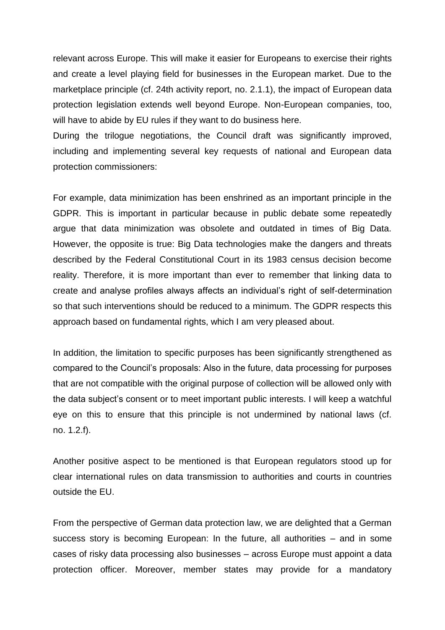relevant across Europe. This will make it easier for Europeans to exercise their rights and create a level playing field for businesses in the European market. Due to the marketplace principle (cf. 24th activity report, no. 2.1.1), the impact of European data protection legislation extends well beyond Europe. Non-European companies, too, will have to abide by EU rules if they want to do business here.

During the trilogue negotiations, the Council draft was significantly improved, including and implementing several key requests of national and European data protection commissioners:

For example, data minimization has been enshrined as an important principle in the GDPR. This is important in particular because in public debate some repeatedly argue that data minimization was obsolete and outdated in times of Big Data. However, the opposite is true: Big Data technologies make the dangers and threats described by the Federal Constitutional Court in its 1983 census decision become reality. Therefore, it is more important than ever to remember that linking data to create and analyse profiles always affects an individual's right of self-determination so that such interventions should be reduced to a minimum. The GDPR respects this approach based on fundamental rights, which I am very pleased about.

In addition, the limitation to specific purposes has been significantly strengthened as compared to the Council's proposals: Also in the future, data processing for purposes that are not compatible with the original purpose of collection will be allowed only with the data subject's consent or to meet important public interests. I will keep a watchful eye on this to ensure that this principle is not undermined by national laws (cf. no. 1.2.f).

Another positive aspect to be mentioned is that European regulators stood up for clear international rules on data transmission to authorities and courts in countries outside the EU.

From the perspective of German data protection law, we are delighted that a German success story is becoming European: In the future, all authorities – and in some cases of risky data processing also businesses – across Europe must appoint a data protection officer. Moreover, member states may provide for a mandatory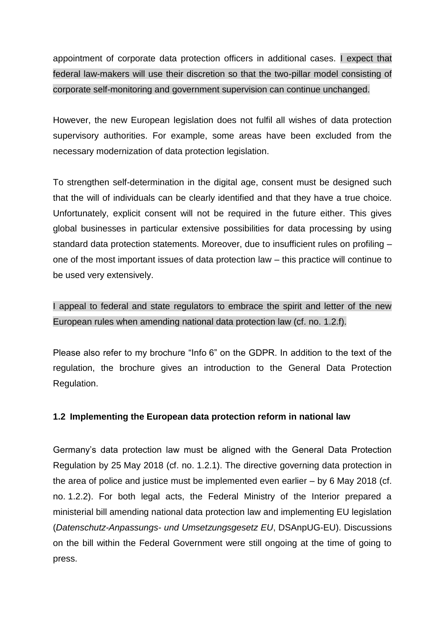appointment of corporate data protection officers in additional cases. I expect that federal law-makers will use their discretion so that the two-pillar model consisting of corporate self-monitoring and government supervision can continue unchanged.

However, the new European legislation does not fulfil all wishes of data protection supervisory authorities. For example, some areas have been excluded from the necessary modernization of data protection legislation.

To strengthen self-determination in the digital age, consent must be designed such that the will of individuals can be clearly identified and that they have a true choice. Unfortunately, explicit consent will not be required in the future either. This gives global businesses in particular extensive possibilities for data processing by using standard data protection statements. Moreover, due to insufficient rules on profiling – one of the most important issues of data protection law – this practice will continue to be used very extensively.

I appeal to federal and state regulators to embrace the spirit and letter of the new European rules when amending national data protection law (cf. no. 1.2.f).

Please also refer to my brochure "Info 6" on the GDPR. In addition to the text of the regulation, the brochure gives an introduction to the General Data Protection Regulation.

## **1.2 Implementing the European data protection reform in national law**

Germany's data protection law must be aligned with the General Data Protection Regulation by 25 May 2018 (cf. no. 1.2.1). The directive governing data protection in the area of police and justice must be implemented even earlier – by 6 May 2018 (cf. no. 1.2.2). For both legal acts, the Federal Ministry of the Interior prepared a ministerial bill amending national data protection law and implementing EU legislation (*Datenschutz-Anpassungs- und Umsetzungsgesetz EU*, DSAnpUG-EU). Discussions on the bill within the Federal Government were still ongoing at the time of going to press.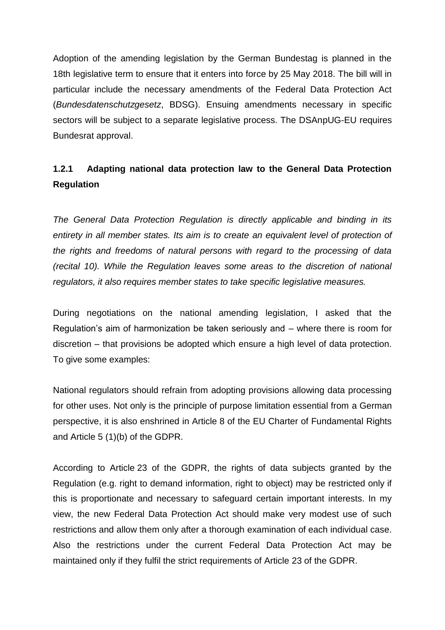Adoption of the amending legislation by the German Bundestag is planned in the 18th legislative term to ensure that it enters into force by 25 May 2018. The bill will in particular include the necessary amendments of the Federal Data Protection Act (*Bundesdatenschutzgesetz*, BDSG). Ensuing amendments necessary in specific sectors will be subject to a separate legislative process. The DSAnpUG-EU requires Bundesrat approval.

# **1.2.1 Adapting national data protection law to the General Data Protection Regulation**

*The General Data Protection Regulation is directly applicable and binding in its entirety in all member states. Its aim is to create an equivalent level of protection of the rights and freedoms of natural persons with regard to the processing of data (recital 10). While the Regulation leaves some areas to the discretion of national regulators, it also requires member states to take specific legislative measures.*

During negotiations on the national amending legislation, I asked that the Regulation's aim of harmonization be taken seriously and – where there is room for discretion – that provisions be adopted which ensure a high level of data protection. To give some examples:

National regulators should refrain from adopting provisions allowing data processing for other uses. Not only is the principle of purpose limitation essential from a German perspective, it is also enshrined in Article 8 of the EU Charter of Fundamental Rights and Article 5 (1)(b) of the GDPR.

According to Article 23 of the GDPR, the rights of data subjects granted by the Regulation (e.g. right to demand information, right to object) may be restricted only if this is proportionate and necessary to safeguard certain important interests. In my view, the new Federal Data Protection Act should make very modest use of such restrictions and allow them only after a thorough examination of each individual case. Also the restrictions under the current Federal Data Protection Act may be maintained only if they fulfil the strict requirements of Article 23 of the GDPR.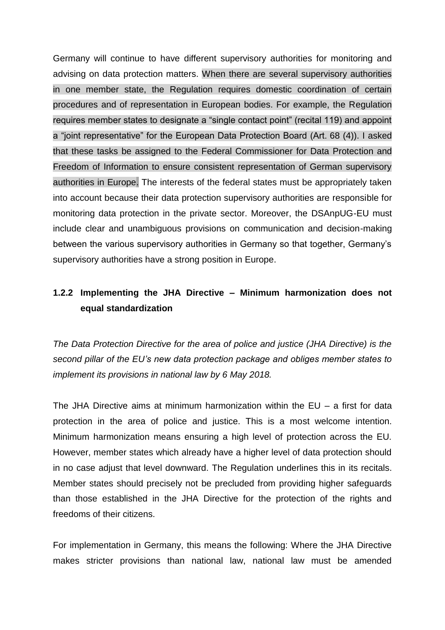Germany will continue to have different supervisory authorities for monitoring and advising on data protection matters. When there are several supervisory authorities in one member state, the Regulation requires domestic coordination of certain procedures and of representation in European bodies. For example, the Regulation requires member states to designate a "single contact point" (recital 119) and appoint a "joint representative" for the European Data Protection Board (Art. 68 (4)). I asked that these tasks be assigned to the Federal Commissioner for Data Protection and Freedom of Information to ensure consistent representation of German supervisory authorities in Europe. The interests of the federal states must be appropriately taken into account because their data protection supervisory authorities are responsible for monitoring data protection in the private sector. Moreover, the DSAnpUG-EU must include clear and unambiguous provisions on communication and decision-making between the various supervisory authorities in Germany so that together, Germany's supervisory authorities have a strong position in Europe.

## **1.2.2 Implementing the JHA Directive – Minimum harmonization does not equal standardization**

*The Data Protection Directive for the area of police and justice (JHA Directive) is the second pillar of the EU's new data protection package and obliges member states to implement its provisions in national law by 6 May 2018.*

The JHA Directive aims at minimum harmonization within the  $EU - a$  first for data protection in the area of police and justice. This is a most welcome intention. Minimum harmonization means ensuring a high level of protection across the EU. However, member states which already have a higher level of data protection should in no case adjust that level downward. The Regulation underlines this in its recitals. Member states should precisely not be precluded from providing higher safeguards than those established in the JHA Directive for the protection of the rights and freedoms of their citizens.

For implementation in Germany, this means the following: Where the JHA Directive makes stricter provisions than national law, national law must be amended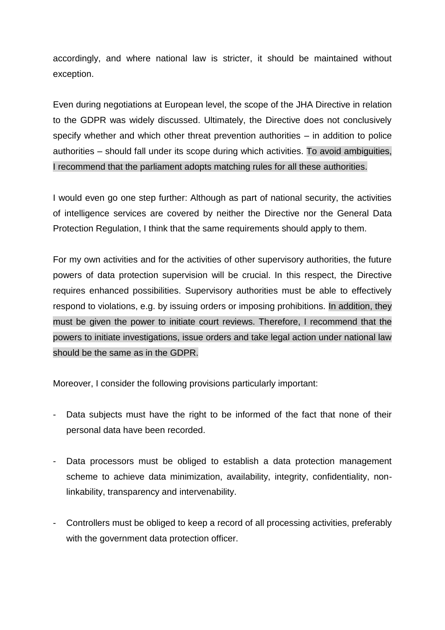accordingly, and where national law is stricter, it should be maintained without exception.

Even during negotiations at European level, the scope of the JHA Directive in relation to the GDPR was widely discussed. Ultimately, the Directive does not conclusively specify whether and which other threat prevention authorities – in addition to police authorities – should fall under its scope during which activities. To avoid ambiguities, I recommend that the parliament adopts matching rules for all these authorities.

I would even go one step further: Although as part of national security, the activities of intelligence services are covered by neither the Directive nor the General Data Protection Regulation, I think that the same requirements should apply to them.

For my own activities and for the activities of other supervisory authorities, the future powers of data protection supervision will be crucial. In this respect, the Directive requires enhanced possibilities. Supervisory authorities must be able to effectively respond to violations, e.g. by issuing orders or imposing prohibitions. In addition, they must be given the power to initiate court reviews. Therefore, I recommend that the powers to initiate investigations, issue orders and take legal action under national law should be the same as in the GDPR.

Moreover, I consider the following provisions particularly important:

- Data subjects must have the right to be informed of the fact that none of their personal data have been recorded.
- Data processors must be obliged to establish a data protection management scheme to achieve data minimization, availability, integrity, confidentiality, nonlinkability, transparency and intervenability.
- Controllers must be obliged to keep a record of all processing activities, preferably with the government data protection officer.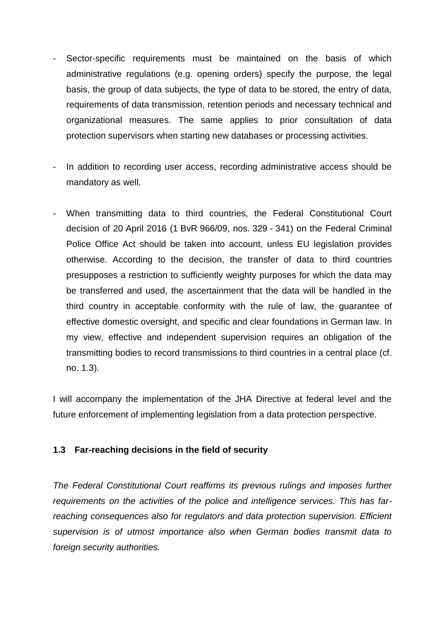- Sector-specific requirements must be maintained on the basis of which administrative regulations (e.g. opening orders) specify the purpose, the legal basis, the group of data subjects, the type of data to be stored, the entry of data, requirements of data transmission, retention periods and necessary technical and organizational measures. The same applies to prior consultation of data protection supervisors when starting new databases or processing activities.
- In addition to recording user access, recording administrative access should be mandatory as well.
- When transmitting data to third countries, the Federal Constitutional Court decision of 20 April 2016 (1 BvR 966/09, nos. 329 - 341) on the Federal Criminal Police Office Act should be taken into account, unless EU legislation provides otherwise. According to the decision, the transfer of data to third countries presupposes a restriction to sufficiently weighty purposes for which the data may be transferred and used, the ascertainment that the data will be handled in the third country in acceptable conformity with the rule of law, the guarantee of effective domestic oversight, and specific and clear foundations in German law. In my view, effective and independent supervision requires an obligation of the transmitting bodies to record transmissions to third countries in a central place (cf. no. 1.3).

I will accompany the implementation of the JHA Directive at federal level and the future enforcement of implementing legislation from a data protection perspective.

## **1.3 Far-reaching decisions in the field of security**

*The Federal Constitutional Court reaffirms its previous rulings and imposes further requirements on the activities of the police and intelligence services. This has farreaching consequences also for regulators and data protection supervision. Efficient supervision is of utmost importance also when German bodies transmit data to foreign security authorities.*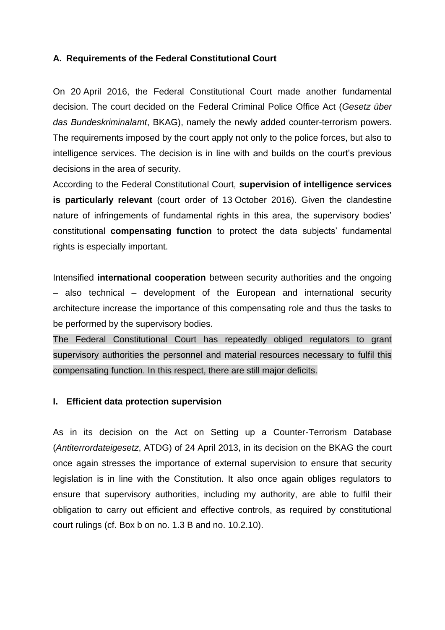#### **A. Requirements of the Federal Constitutional Court**

On 20 April 2016, the Federal Constitutional Court made another fundamental decision. The court decided on the Federal Criminal Police Office Act (*Gesetz über das Bundeskriminalamt*, BKAG), namely the newly added counter-terrorism powers. The requirements imposed by the court apply not only to the police forces, but also to intelligence services. The decision is in line with and builds on the court's previous decisions in the area of security.

According to the Federal Constitutional Court, **supervision of intelligence services is particularly relevant** (court order of 13 October 2016). Given the clandestine nature of infringements of fundamental rights in this area, the supervisory bodies' constitutional **compensating function** to protect the data subjects' fundamental rights is especially important.

Intensified **international cooperation** between security authorities and the ongoing – also technical – development of the European and international security architecture increase the importance of this compensating role and thus the tasks to be performed by the supervisory bodies.

The Federal Constitutional Court has repeatedly obliged regulators to grant supervisory authorities the personnel and material resources necessary to fulfil this compensating function. In this respect, there are still major deficits.

#### **I. Efficient data protection supervision**

As in its decision on the Act on Setting up a Counter-Terrorism Database (*Antiterrordateigesetz*, ATDG) of 24 April 2013, in its decision on the BKAG the court once again stresses the importance of external supervision to ensure that security legislation is in line with the Constitution. It also once again obliges regulators to ensure that supervisory authorities, including my authority, are able to fulfil their obligation to carry out efficient and effective controls, as required by constitutional court rulings (cf. Box b on no. 1.3 B and no. 10.2.10).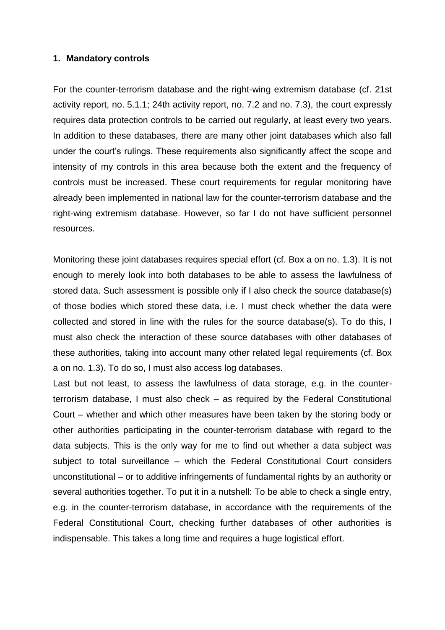#### **1. Mandatory controls**

For the counter-terrorism database and the right-wing extremism database (cf. 21st activity report, no. 5.1.1; 24th activity report, no. 7.2 and no. 7.3), the court expressly requires data protection controls to be carried out regularly, at least every two years. In addition to these databases, there are many other joint databases which also fall under the court's rulings. These requirements also significantly affect the scope and intensity of my controls in this area because both the extent and the frequency of controls must be increased. These court requirements for regular monitoring have already been implemented in national law for the counter-terrorism database and the right-wing extremism database. However, so far I do not have sufficient personnel resources.

Monitoring these joint databases requires special effort (cf. Box a on no. 1.3). It is not enough to merely look into both databases to be able to assess the lawfulness of stored data. Such assessment is possible only if I also check the source database(s) of those bodies which stored these data, i.e. I must check whether the data were collected and stored in line with the rules for the source database(s). To do this, I must also check the interaction of these source databases with other databases of these authorities, taking into account many other related legal requirements (cf. Box a on no. 1.3). To do so, I must also access log databases.

Last but not least, to assess the lawfulness of data storage, e.g. in the counterterrorism database, I must also check – as required by the Federal Constitutional Court – whether and which other measures have been taken by the storing body or other authorities participating in the counter-terrorism database with regard to the data subjects. This is the only way for me to find out whether a data subject was subject to total surveillance – which the Federal Constitutional Court considers unconstitutional – or to additive infringements of fundamental rights by an authority or several authorities together. To put it in a nutshell: To be able to check a single entry, e.g. in the counter-terrorism database, in accordance with the requirements of the Federal Constitutional Court, checking further databases of other authorities is indispensable. This takes a long time and requires a huge logistical effort.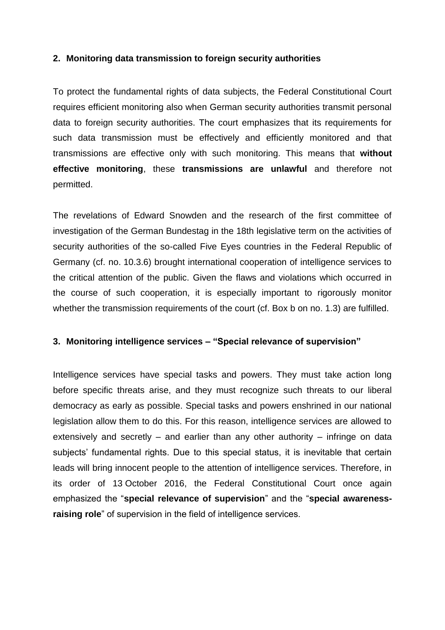### **2. Monitoring data transmission to foreign security authorities**

To protect the fundamental rights of data subjects, the Federal Constitutional Court requires efficient monitoring also when German security authorities transmit personal data to foreign security authorities. The court emphasizes that its requirements for such data transmission must be effectively and efficiently monitored and that transmissions are effective only with such monitoring. This means that **without effective monitoring**, these **transmissions are unlawful** and therefore not permitted.

The revelations of Edward Snowden and the research of the first committee of investigation of the German Bundestag in the 18th legislative term on the activities of security authorities of the so-called Five Eyes countries in the Federal Republic of Germany (cf. no. 10.3.6) brought international cooperation of intelligence services to the critical attention of the public. Given the flaws and violations which occurred in the course of such cooperation, it is especially important to rigorously monitor whether the transmission requirements of the court (cf. Box b on no. 1.3) are fulfilled.

### **3. Monitoring intelligence services – "Special relevance of supervision"**

Intelligence services have special tasks and powers. They must take action long before specific threats arise, and they must recognize such threats to our liberal democracy as early as possible. Special tasks and powers enshrined in our national legislation allow them to do this. For this reason, intelligence services are allowed to extensively and secretly – and earlier than any other authority – infringe on data subjects' fundamental rights. Due to this special status, it is inevitable that certain leads will bring innocent people to the attention of intelligence services. Therefore, in its order of 13 October 2016, the Federal Constitutional Court once again emphasized the "**special relevance of supervision**" and the "**special awarenessraising role**" of supervision in the field of intelligence services.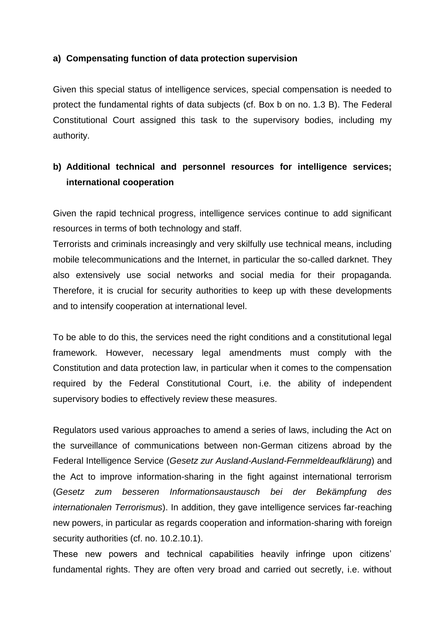### **a) Compensating function of data protection supervision**

Given this special status of intelligence services, special compensation is needed to protect the fundamental rights of data subjects (cf. Box b on no. 1.3 B). The Federal Constitutional Court assigned this task to the supervisory bodies, including my authority.

## **b) Additional technical and personnel resources for intelligence services; international cooperation**

Given the rapid technical progress, intelligence services continue to add significant resources in terms of both technology and staff.

Terrorists and criminals increasingly and very skilfully use technical means, including mobile telecommunications and the Internet, in particular the so-called darknet. They also extensively use social networks and social media for their propaganda. Therefore, it is crucial for security authorities to keep up with these developments and to intensify cooperation at international level.

To be able to do this, the services need the right conditions and a constitutional legal framework. However, necessary legal amendments must comply with the Constitution and data protection law, in particular when it comes to the compensation required by the Federal Constitutional Court, i.e. the ability of independent supervisory bodies to effectively review these measures.

Regulators used various approaches to amend a series of laws, including the Act on the surveillance of communications between non-German citizens abroad by the Federal Intelligence Service (*Gesetz zur Ausland-Ausland-Fernmeldeaufklärung*) and the Act to improve information-sharing in the fight against international terrorism (*Gesetz zum besseren Informationsaustausch bei der Bekämpfung des internationalen Terrorismus*). In addition, they gave intelligence services far-reaching new powers, in particular as regards cooperation and information-sharing with foreign security authorities (cf. no. 10.2.10.1).

These new powers and technical capabilities heavily infringe upon citizens' fundamental rights. They are often very broad and carried out secretly, i.e. without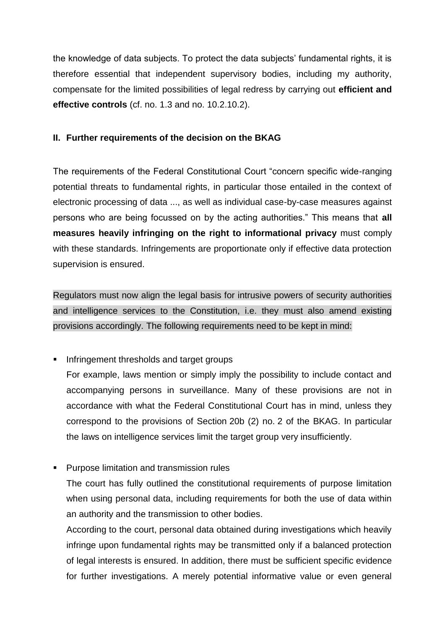the knowledge of data subjects. To protect the data subjects' fundamental rights, it is therefore essential that independent supervisory bodies, including my authority, compensate for the limited possibilities of legal redress by carrying out **efficient and effective controls** (cf. no. 1.3 and no. 10.2.10.2).

## **II. Further requirements of the decision on the BKAG**

The requirements of the Federal Constitutional Court "concern specific wide-ranging potential threats to fundamental rights, in particular those entailed in the context of electronic processing of data ..., as well as individual case-by-case measures against persons who are being focussed on by the acting authorities." This means that **all measures heavily infringing on the right to informational privacy** must comply with these standards. Infringements are proportionate only if effective data protection supervision is ensured.

Regulators must now align the legal basis for intrusive powers of security authorities and intelligence services to the Constitution, i.e. they must also amend existing provisions accordingly. The following requirements need to be kept in mind:

**Infringement thresholds and target groups** 

For example, laws mention or simply imply the possibility to include contact and accompanying persons in surveillance. Many of these provisions are not in accordance with what the Federal Constitutional Court has in mind, unless they correspond to the provisions of Section 20b (2) no. 2 of the BKAG. In particular the laws on intelligence services limit the target group very insufficiently.

**Purpose limitation and transmission rules** 

The court has fully outlined the constitutional requirements of purpose limitation when using personal data, including requirements for both the use of data within an authority and the transmission to other bodies.

According to the court, personal data obtained during investigations which heavily infringe upon fundamental rights may be transmitted only if a balanced protection of legal interests is ensured. In addition, there must be sufficient specific evidence for further investigations. A merely potential informative value or even general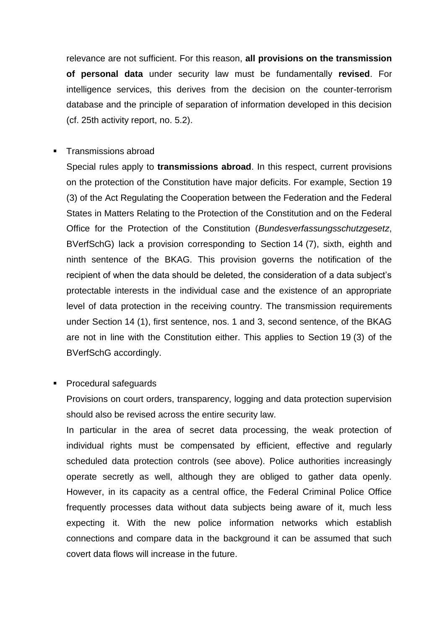relevance are not sufficient. For this reason, **all provisions on the transmission of personal data** under security law must be fundamentally **revised**. For intelligence services, this derives from the decision on the counter-terrorism database and the principle of separation of information developed in this decision (cf. 25th activity report, no. 5.2).

Transmissions abroad

Special rules apply to **transmissions abroad**. In this respect, current provisions on the protection of the Constitution have major deficits. For example, Section 19 (3) of the Act Regulating the Cooperation between the Federation and the Federal States in Matters Relating to the Protection of the Constitution and on the Federal Office for the Protection of the Constitution (*Bundesverfassungsschutzgesetz*, BVerfSchG) lack a provision corresponding to Section 14 (7), sixth, eighth and ninth sentence of the BKAG. This provision governs the notification of the recipient of when the data should be deleted, the consideration of a data subject's protectable interests in the individual case and the existence of an appropriate level of data protection in the receiving country. The transmission requirements under Section 14 (1), first sentence, nos. 1 and 3, second sentence, of the BKAG are not in line with the Constitution either. This applies to Section 19 (3) of the BVerfSchG accordingly.

**Procedural safeguards** 

Provisions on court orders, transparency, logging and data protection supervision should also be revised across the entire security law.

In particular in the area of secret data processing, the weak protection of individual rights must be compensated by efficient, effective and regularly scheduled data protection controls (see above). Police authorities increasingly operate secretly as well, although they are obliged to gather data openly. However, in its capacity as a central office, the Federal Criminal Police Office frequently processes data without data subjects being aware of it, much less expecting it. With the new police information networks which establish connections and compare data in the background it can be assumed that such covert data flows will increase in the future.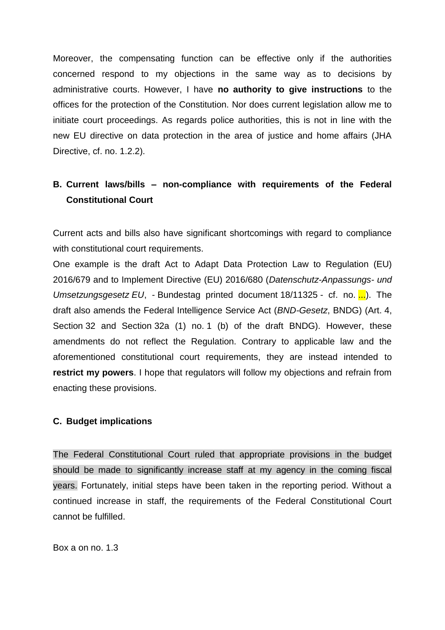Moreover, the compensating function can be effective only if the authorities concerned respond to my objections in the same way as to decisions by administrative courts. However, I have **no authority to give instructions** to the offices for the protection of the Constitution. Nor does current legislation allow me to initiate court proceedings. As regards police authorities, this is not in line with the new EU directive on data protection in the area of justice and home affairs (JHA Directive, cf. no. 1.2.2).

# **B. Current laws/bills – non-compliance with requirements of the Federal Constitutional Court**

Current acts and bills also have significant shortcomings with regard to compliance with constitutional court requirements.

One example is the draft Act to Adapt Data Protection Law to Regulation (EU) 2016/679 and to Implement Directive (EU) 2016/680 (*Datenschutz-Anpassungs- und Umsetzungsgesetz EU*, - Bundestag printed document 18/11325 - cf. no. ...). The draft also amends the Federal Intelligence Service Act (*BND-Gesetz*, BNDG) (Art. 4, Section 32 and Section 32a (1) no. 1 (b) of the draft BNDG). However, these amendments do not reflect the Regulation. Contrary to applicable law and the aforementioned constitutional court requirements, they are instead intended to **restrict my powers**. I hope that regulators will follow my objections and refrain from enacting these provisions.

#### **C. Budget implications**

The Federal Constitutional Court ruled that appropriate provisions in the budget should be made to significantly increase staff at my agency in the coming fiscal years. Fortunately, initial steps have been taken in the reporting period. Without a continued increase in staff, the requirements of the Federal Constitutional Court cannot be fulfilled.

Box a on no. 1.3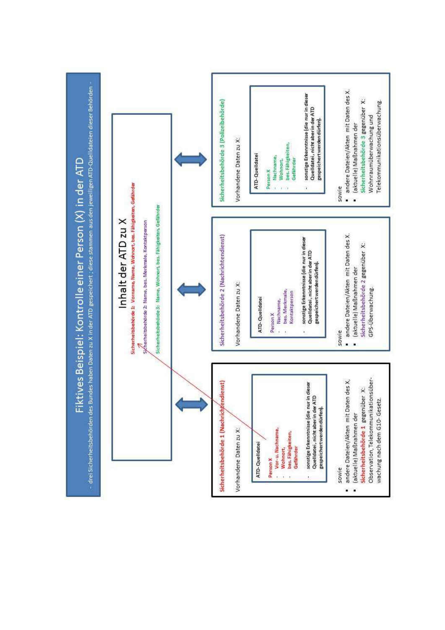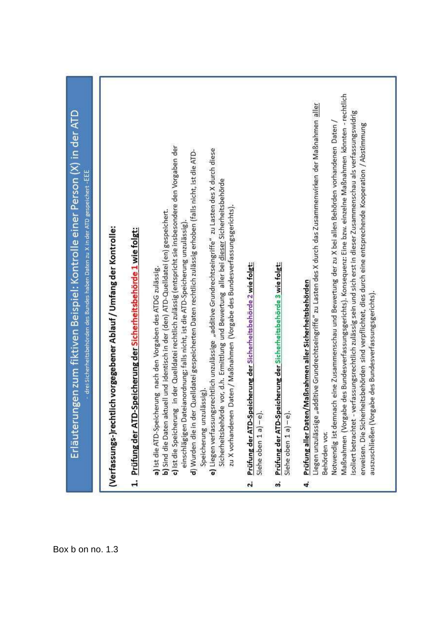٠.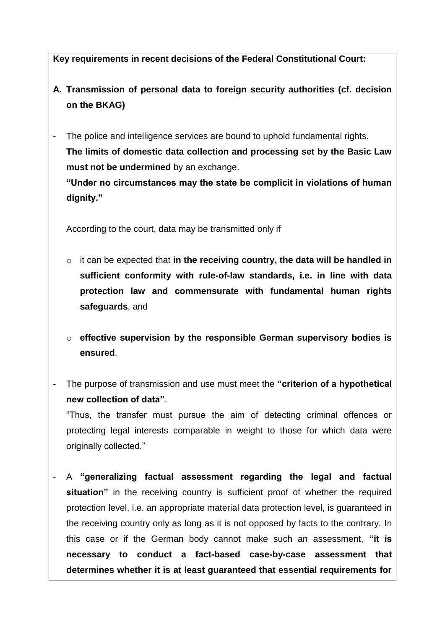**Key requirements in recent decisions of the Federal Constitutional Court:**

- **A. Transmission of personal data to foreign security authorities (cf. decision on the BKAG)**
- The police and intelligence services are bound to uphold fundamental rights. **The limits of domestic data collection and processing set by the Basic Law must not be undermined** by an exchange. **"Under no circumstances may the state be complicit in violations of human**

According to the court, data may be transmitted only if

**dignity."**

- o it can be expected that **in the receiving country, the data will be handled in sufficient conformity with rule-of-law standards, i.e. in line with data protection law and commensurate with fundamental human rights safeguards**, and
- o **effective supervision by the responsible German supervisory bodies is ensured**.
- The purpose of transmission and use must meet the **"criterion of a hypothetical new collection of data"**.

"Thus, the transfer must pursue the aim of detecting criminal offences or protecting legal interests comparable in weight to those for which data were originally collected."

- A **"generalizing factual assessment regarding the legal and factual situation**" in the receiving country is sufficient proof of whether the required protection level, i.e. an appropriate material data protection level, is guaranteed in the receiving country only as long as it is not opposed by facts to the contrary. In this case or if the German body cannot make such an assessment, **"it is necessary to conduct a fact-based case-by-case assessment that determines whether it is at least guaranteed that essential requirements for**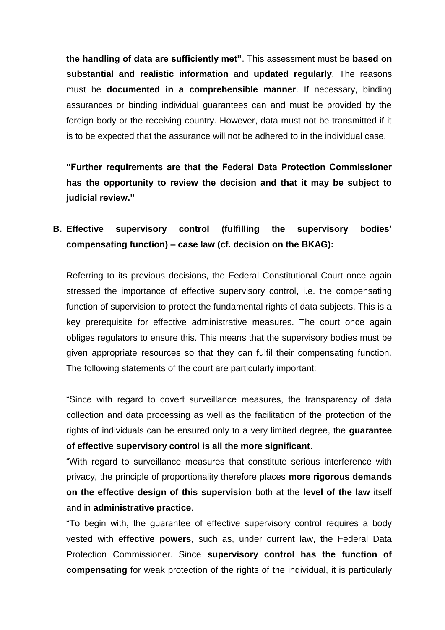**the handling of data are sufficiently met"**. This assessment must be **based on substantial and realistic information** and **updated regularly**. The reasons must be **documented in a comprehensible manner**. If necessary, binding assurances or binding individual guarantees can and must be provided by the foreign body or the receiving country. However, data must not be transmitted if it is to be expected that the assurance will not be adhered to in the individual case.

**"Further requirements are that the Federal Data Protection Commissioner has the opportunity to review the decision and that it may be subject to judicial review."**

# **B. Effective supervisory control (fulfilling the supervisory bodies' compensating function) – case law (cf. decision on the BKAG):**

Referring to its previous decisions, the Federal Constitutional Court once again stressed the importance of effective supervisory control, i.e. the compensating function of supervision to protect the fundamental rights of data subjects. This is a key prerequisite for effective administrative measures. The court once again obliges regulators to ensure this. This means that the supervisory bodies must be given appropriate resources so that they can fulfil their compensating function. The following statements of the court are particularly important:

"Since with regard to covert surveillance measures, the transparency of data collection and data processing as well as the facilitation of the protection of the rights of individuals can be ensured only to a very limited degree, the **guarantee of effective supervisory control is all the more significant**.

"With regard to surveillance measures that constitute serious interference with privacy, the principle of proportionality therefore places **more rigorous demands on the effective design of this supervision** both at the **level of the law** itself and in **administrative practice**.

"To begin with, the guarantee of effective supervisory control requires a body vested with **effective powers**, such as, under current law, the Federal Data Protection Commissioner. Since **supervisory control has the function of compensating** for weak protection of the rights of the individual, it is particularly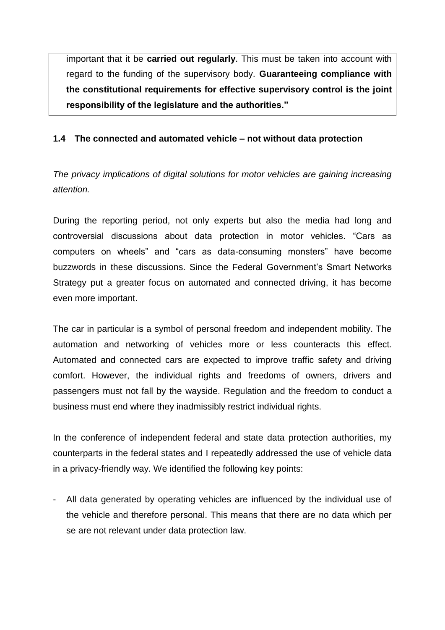important that it be **carried out regularly**. This must be taken into account with regard to the funding of the supervisory body. **Guaranteeing compliance with the constitutional requirements for effective supervisory control is the joint responsibility of the legislature and the authorities."**

## **1.4 The connected and automated vehicle – not without data protection**

*The privacy implications of digital solutions for motor vehicles are gaining increasing attention.*

During the reporting period, not only experts but also the media had long and controversial discussions about data protection in motor vehicles. "Cars as computers on wheels" and "cars as data-consuming monsters" have become buzzwords in these discussions. Since the Federal Government's Smart Networks Strategy put a greater focus on automated and connected driving, it has become even more important.

The car in particular is a symbol of personal freedom and independent mobility. The automation and networking of vehicles more or less counteracts this effect. Automated and connected cars are expected to improve traffic safety and driving comfort. However, the individual rights and freedoms of owners, drivers and passengers must not fall by the wayside. Regulation and the freedom to conduct a business must end where they inadmissibly restrict individual rights.

In the conference of independent federal and state data protection authorities, my counterparts in the federal states and I repeatedly addressed the use of vehicle data in a privacy-friendly way. We identified the following key points:

- All data generated by operating vehicles are influenced by the individual use of the vehicle and therefore personal. This means that there are no data which per se are not relevant under data protection law.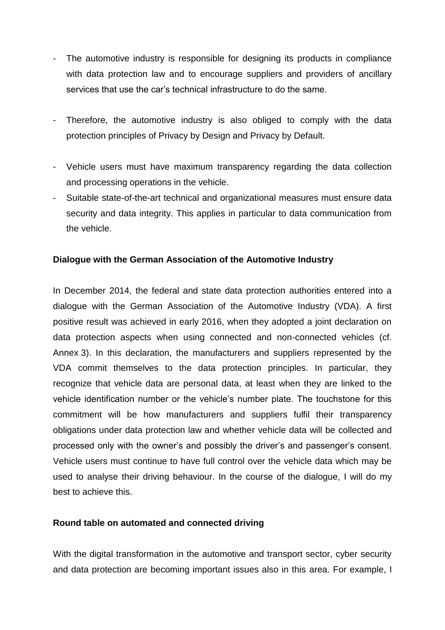- The automotive industry is responsible for designing its products in compliance with data protection law and to encourage suppliers and providers of ancillary services that use the car's technical infrastructure to do the same.
- Therefore, the automotive industry is also obliged to comply with the data protection principles of Privacy by Design and Privacy by Default.
- Vehicle users must have maximum transparency regarding the data collection and processing operations in the vehicle.
- Suitable state-of-the-art technical and organizational measures must ensure data security and data integrity. This applies in particular to data communication from the vehicle.

### **Dialogue with the German Association of the Automotive Industry**

In December 2014, the federal and state data protection authorities entered into a dialogue with the German Association of the Automotive Industry (VDA). A first positive result was achieved in early 2016, when they adopted a joint declaration on data protection aspects when using connected and non-connected vehicles (cf. Annex 3). In this declaration, the manufacturers and suppliers represented by the VDA commit themselves to the data protection principles. In particular, they recognize that vehicle data are personal data, at least when they are linked to the vehicle identification number or the vehicle's number plate. The touchstone for this commitment will be how manufacturers and suppliers fulfil their transparency obligations under data protection law and whether vehicle data will be collected and processed only with the owner's and possibly the driver's and passenger's consent. Vehicle users must continue to have full control over the vehicle data which may be used to analyse their driving behaviour. In the course of the dialogue, I will do my best to achieve this.

### **Round table on automated and connected driving**

With the digital transformation in the automotive and transport sector, cyber security and data protection are becoming important issues also in this area. For example, I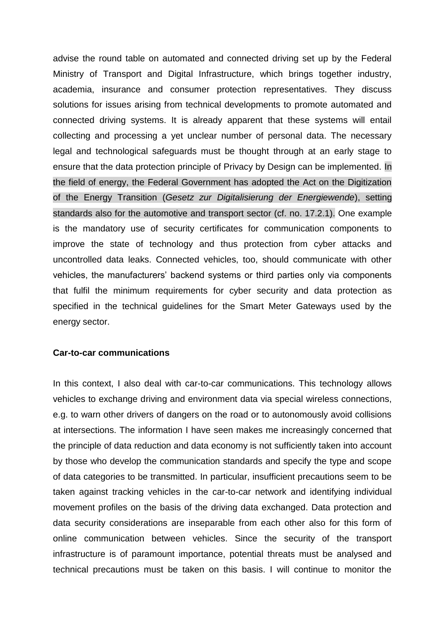advise the round table on automated and connected driving set up by the Federal Ministry of Transport and Digital Infrastructure, which brings together industry, academia, insurance and consumer protection representatives. They discuss solutions for issues arising from technical developments to promote automated and connected driving systems. It is already apparent that these systems will entail collecting and processing a yet unclear number of personal data. The necessary legal and technological safeguards must be thought through at an early stage to ensure that the data protection principle of Privacy by Design can be implemented. In the field of energy, the Federal Government has adopted the Act on the Digitization of the Energy Transition (*Gesetz zur Digitalisierung der Energiewende*), setting standards also for the automotive and transport sector (cf. no. 17.2.1). One example is the mandatory use of security certificates for communication components to improve the state of technology and thus protection from cyber attacks and uncontrolled data leaks. Connected vehicles, too, should communicate with other vehicles, the manufacturers' backend systems or third parties only via components that fulfil the minimum requirements for cyber security and data protection as specified in the technical guidelines for the Smart Meter Gateways used by the energy sector.

#### **Car-to-car communications**

In this context, I also deal with car-to-car communications. This technology allows vehicles to exchange driving and environment data via special wireless connections, e.g. to warn other drivers of dangers on the road or to autonomously avoid collisions at intersections. The information I have seen makes me increasingly concerned that the principle of data reduction and data economy is not sufficiently taken into account by those who develop the communication standards and specify the type and scope of data categories to be transmitted. In particular, insufficient precautions seem to be taken against tracking vehicles in the car-to-car network and identifying individual movement profiles on the basis of the driving data exchanged. Data protection and data security considerations are inseparable from each other also for this form of online communication between vehicles. Since the security of the transport infrastructure is of paramount importance, potential threats must be analysed and technical precautions must be taken on this basis. I will continue to monitor the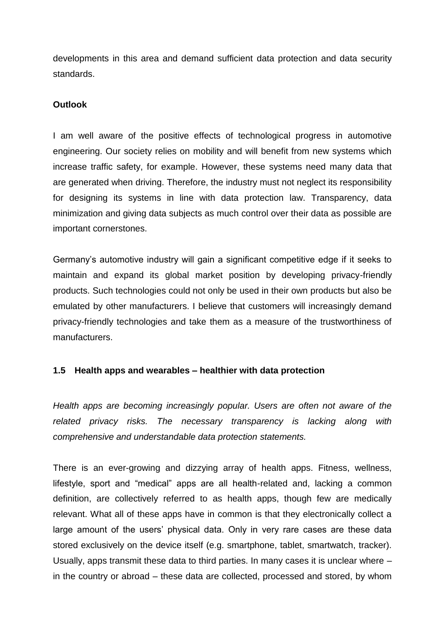developments in this area and demand sufficient data protection and data security standards.

### **Outlook**

I am well aware of the positive effects of technological progress in automotive engineering. Our society relies on mobility and will benefit from new systems which increase traffic safety, for example. However, these systems need many data that are generated when driving. Therefore, the industry must not neglect its responsibility for designing its systems in line with data protection law. Transparency, data minimization and giving data subjects as much control over their data as possible are important cornerstones.

Germany's automotive industry will gain a significant competitive edge if it seeks to maintain and expand its global market position by developing privacy-friendly products. Such technologies could not only be used in their own products but also be emulated by other manufacturers. I believe that customers will increasingly demand privacy-friendly technologies and take them as a measure of the trustworthiness of manufacturers.

## **1.5 Health apps and wearables – healthier with data protection**

*Health apps are becoming increasingly popular. Users are often not aware of the related privacy risks. The necessary transparency is lacking along with comprehensive and understandable data protection statements.*

There is an ever-growing and dizzying array of health apps. Fitness, wellness, lifestyle, sport and "medical" apps are all health-related and, lacking a common definition, are collectively referred to as health apps, though few are medically relevant. What all of these apps have in common is that they electronically collect a large amount of the users' physical data. Only in very rare cases are these data stored exclusively on the device itself (e.g. smartphone, tablet, smartwatch, tracker). Usually, apps transmit these data to third parties. In many cases it is unclear where – in the country or abroad – these data are collected, processed and stored, by whom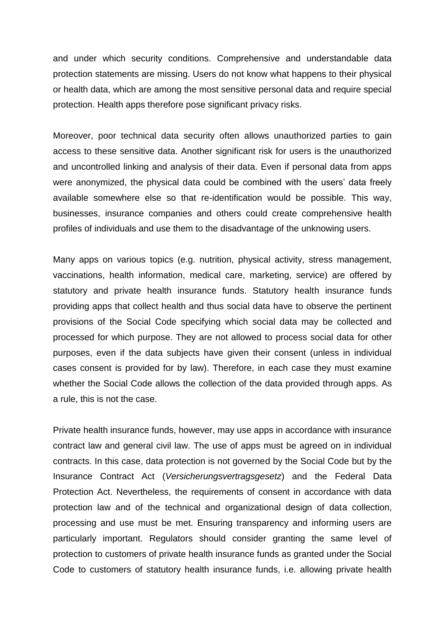and under which security conditions. Comprehensive and understandable data protection statements are missing. Users do not know what happens to their physical or health data, which are among the most sensitive personal data and require special protection. Health apps therefore pose significant privacy risks.

Moreover, poor technical data security often allows unauthorized parties to gain access to these sensitive data. Another significant risk for users is the unauthorized and uncontrolled linking and analysis of their data. Even if personal data from apps were anonymized, the physical data could be combined with the users' data freely available somewhere else so that re-identification would be possible. This way, businesses, insurance companies and others could create comprehensive health profiles of individuals and use them to the disadvantage of the unknowing users.

Many apps on various topics (e.g. nutrition, physical activity, stress management, vaccinations, health information, medical care, marketing, service) are offered by statutory and private health insurance funds. Statutory health insurance funds providing apps that collect health and thus social data have to observe the pertinent provisions of the Social Code specifying which social data may be collected and processed for which purpose. They are not allowed to process social data for other purposes, even if the data subjects have given their consent (unless in individual cases consent is provided for by law). Therefore, in each case they must examine whether the Social Code allows the collection of the data provided through apps. As a rule, this is not the case.

Private health insurance funds, however, may use apps in accordance with insurance contract law and general civil law. The use of apps must be agreed on in individual contracts. In this case, data protection is not governed by the Social Code but by the Insurance Contract Act (*Versicherungsvertragsgesetz*) and the Federal Data Protection Act. Nevertheless, the requirements of consent in accordance with data protection law and of the technical and organizational design of data collection, processing and use must be met. Ensuring transparency and informing users are particularly important. Regulators should consider granting the same level of protection to customers of private health insurance funds as granted under the Social Code to customers of statutory health insurance funds, i.e. allowing private health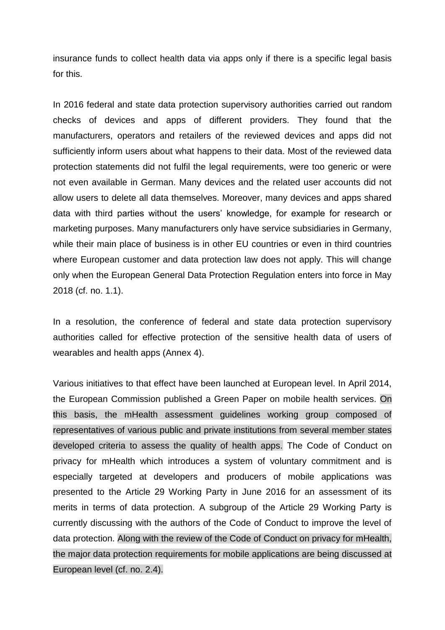insurance funds to collect health data via apps only if there is a specific legal basis for this.

In 2016 federal and state data protection supervisory authorities carried out random checks of devices and apps of different providers. They found that the manufacturers, operators and retailers of the reviewed devices and apps did not sufficiently inform users about what happens to their data. Most of the reviewed data protection statements did not fulfil the legal requirements, were too generic or were not even available in German. Many devices and the related user accounts did not allow users to delete all data themselves. Moreover, many devices and apps shared data with third parties without the users' knowledge, for example for research or marketing purposes. Many manufacturers only have service subsidiaries in Germany, while their main place of business is in other EU countries or even in third countries where European customer and data protection law does not apply. This will change only when the European General Data Protection Regulation enters into force in May 2018 (cf. no. 1.1).

In a resolution, the conference of federal and state data protection supervisory authorities called for effective protection of the sensitive health data of users of wearables and health apps (Annex 4).

Various initiatives to that effect have been launched at European level. In April 2014, the European Commission published a Green Paper on mobile health services. On this basis, the mHealth assessment guidelines working group composed of representatives of various public and private institutions from several member states developed criteria to assess the quality of health apps. The Code of Conduct on privacy for mHealth which introduces a system of voluntary commitment and is especially targeted at developers and producers of mobile applications was presented to the Article 29 Working Party in June 2016 for an assessment of its merits in terms of data protection. A subgroup of the Article 29 Working Party is currently discussing with the authors of the Code of Conduct to improve the level of data protection. Along with the review of the Code of Conduct on privacy for mHealth, the major data protection requirements for mobile applications are being discussed at European level (cf. no. 2.4).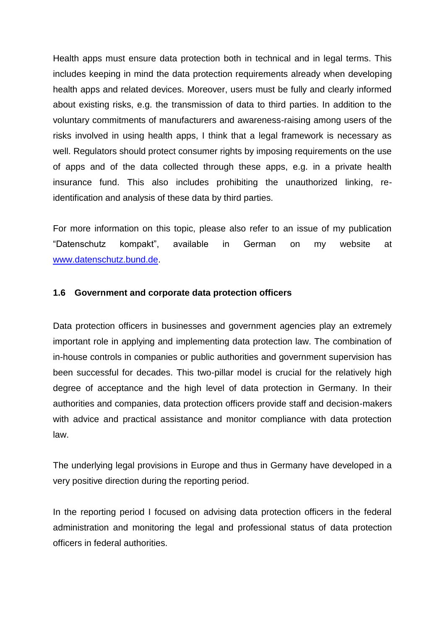Health apps must ensure data protection both in technical and in legal terms. This includes keeping in mind the data protection requirements already when developing health apps and related devices. Moreover, users must be fully and clearly informed about existing risks, e.g. the transmission of data to third parties. In addition to the voluntary commitments of manufacturers and awareness-raising among users of the risks involved in using health apps, I think that a legal framework is necessary as well. Regulators should protect consumer rights by imposing requirements on the use of apps and of the data collected through these apps, e.g. in a private health insurance fund. This also includes prohibiting the unauthorized linking, reidentification and analysis of these data by third parties.

For more information on this topic, please also refer to an issue of my publication "Datenschutz kompakt", available in German on my website at [www.datenschutz.bund.de.](http://www.datenschutz.bund.de/)

### **1.6 Government and corporate data protection officers**

Data protection officers in businesses and government agencies play an extremely important role in applying and implementing data protection law. The combination of in-house controls in companies or public authorities and government supervision has been successful for decades. This two-pillar model is crucial for the relatively high degree of acceptance and the high level of data protection in Germany. In their authorities and companies, data protection officers provide staff and decision-makers with advice and practical assistance and monitor compliance with data protection law.

The underlying legal provisions in Europe and thus in Germany have developed in a very positive direction during the reporting period.

In the reporting period I focused on advising data protection officers in the federal administration and monitoring the legal and professional status of data protection officers in federal authorities.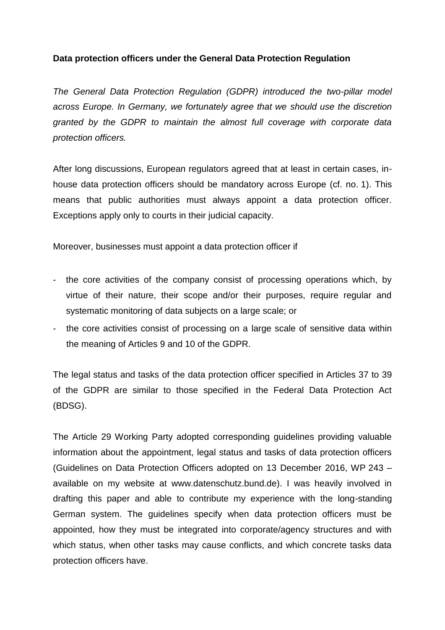### **Data protection officers under the General Data Protection Regulation**

*The General Data Protection Regulation (GDPR) introduced the two-pillar model across Europe. In Germany, we fortunately agree that we should use the discretion granted by the GDPR to maintain the almost full coverage with corporate data protection officers.*

After long discussions, European regulators agreed that at least in certain cases, inhouse data protection officers should be mandatory across Europe (cf. no. 1). This means that public authorities must always appoint a data protection officer. Exceptions apply only to courts in their judicial capacity.

Moreover, businesses must appoint a data protection officer if

- the core activities of the company consist of processing operations which, by virtue of their nature, their scope and/or their purposes, require regular and systematic monitoring of data subjects on a large scale; or
- the core activities consist of processing on a large scale of sensitive data within the meaning of Articles 9 and 10 of the GDPR.

The legal status and tasks of the data protection officer specified in Articles 37 to 39 of the GDPR are similar to those specified in the Federal Data Protection Act (BDSG).

The Article 29 Working Party adopted corresponding guidelines providing valuable information about the appointment, legal status and tasks of data protection officers (Guidelines on Data Protection Officers adopted on 13 December 2016, WP 243 – available on my website at www.datenschutz.bund.de). I was heavily involved in drafting this paper and able to contribute my experience with the long-standing German system. The guidelines specify when data protection officers must be appointed, how they must be integrated into corporate/agency structures and with which status, when other tasks may cause conflicts, and which concrete tasks data protection officers have.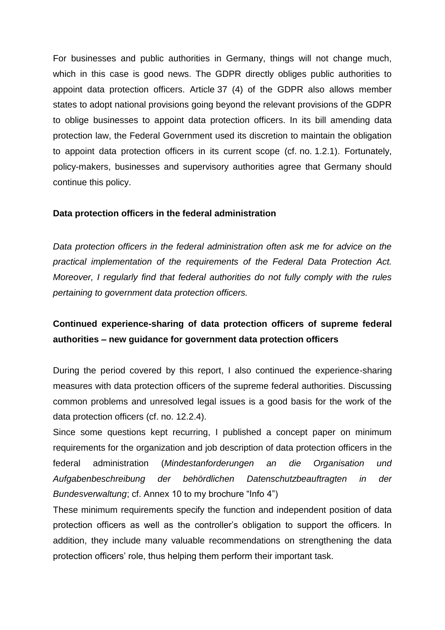For businesses and public authorities in Germany, things will not change much, which in this case is good news. The GDPR directly obliges public authorities to appoint data protection officers. Article 37 (4) of the GDPR also allows member states to adopt national provisions going beyond the relevant provisions of the GDPR to oblige businesses to appoint data protection officers. In its bill amending data protection law, the Federal Government used its discretion to maintain the obligation to appoint data protection officers in its current scope (cf. no. 1.2.1). Fortunately, policy-makers, businesses and supervisory authorities agree that Germany should continue this policy.

### **Data protection officers in the federal administration**

*Data protection officers in the federal administration often ask me for advice on the practical implementation of the requirements of the Federal Data Protection Act. Moreover, I regularly find that federal authorities do not fully comply with the rules pertaining to government data protection officers.*

# **Continued experience-sharing of data protection officers of supreme federal authorities – new guidance for government data protection officers**

During the period covered by this report, I also continued the experience-sharing measures with data protection officers of the supreme federal authorities. Discussing common problems and unresolved legal issues is a good basis for the work of the data protection officers (cf. no. 12.2.4).

Since some questions kept recurring, I published a concept paper on minimum requirements for the organization and job description of data protection officers in the federal administration (*Mindestanforderungen an die Organisation und Aufgabenbeschreibung der behördlichen Datenschutzbeauftragten in der Bundesverwaltung*; cf. Annex 10 to my brochure "Info 4")

These minimum requirements specify the function and independent position of data protection officers as well as the controller's obligation to support the officers. In addition, they include many valuable recommendations on strengthening the data protection officers' role, thus helping them perform their important task.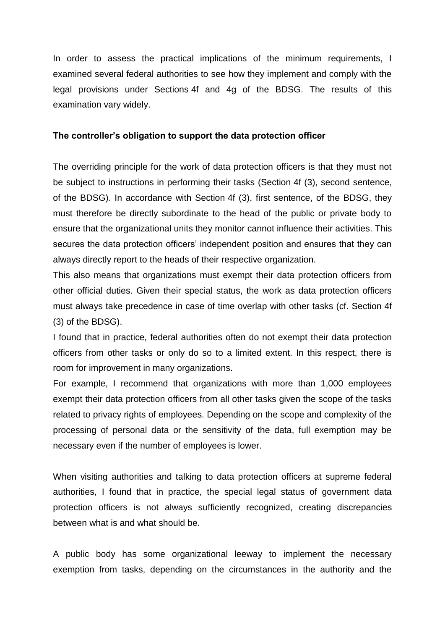In order to assess the practical implications of the minimum requirements, I examined several federal authorities to see how they implement and comply with the legal provisions under Sections 4f and 4g of the BDSG. The results of this examination vary widely.

#### **The controller's obligation to support the data protection officer**

The overriding principle for the work of data protection officers is that they must not be subject to instructions in performing their tasks (Section 4f (3), second sentence, of the BDSG). In accordance with Section 4f (3), first sentence, of the BDSG, they must therefore be directly subordinate to the head of the public or private body to ensure that the organizational units they monitor cannot influence their activities. This secures the data protection officers' independent position and ensures that they can always directly report to the heads of their respective organization.

This also means that organizations must exempt their data protection officers from other official duties. Given their special status, the work as data protection officers must always take precedence in case of time overlap with other tasks (cf. Section 4f (3) of the BDSG).

I found that in practice, federal authorities often do not exempt their data protection officers from other tasks or only do so to a limited extent. In this respect, there is room for improvement in many organizations.

For example, I recommend that organizations with more than 1,000 employees exempt their data protection officers from all other tasks given the scope of the tasks related to privacy rights of employees. Depending on the scope and complexity of the processing of personal data or the sensitivity of the data, full exemption may be necessary even if the number of employees is lower.

When visiting authorities and talking to data protection officers at supreme federal authorities, I found that in practice, the special legal status of government data protection officers is not always sufficiently recognized, creating discrepancies between what is and what should be.

A public body has some organizational leeway to implement the necessary exemption from tasks, depending on the circumstances in the authority and the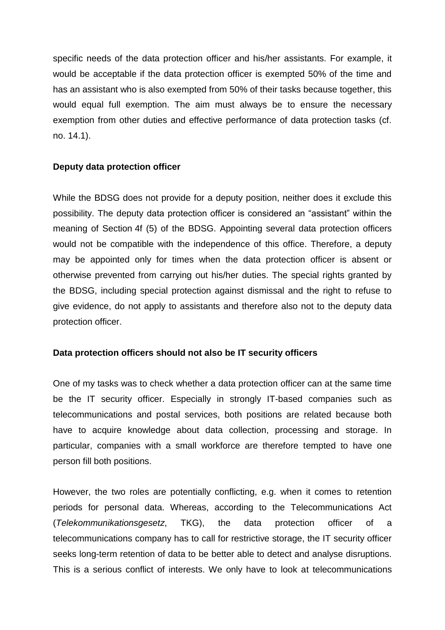specific needs of the data protection officer and his/her assistants. For example, it would be acceptable if the data protection officer is exempted 50% of the time and has an assistant who is also exempted from 50% of their tasks because together, this would equal full exemption. The aim must always be to ensure the necessary exemption from other duties and effective performance of data protection tasks (cf. no. 14.1).

### **Deputy data protection officer**

While the BDSG does not provide for a deputy position, neither does it exclude this possibility. The deputy data protection officer is considered an "assistant" within the meaning of Section 4f (5) of the BDSG. Appointing several data protection officers would not be compatible with the independence of this office. Therefore, a deputy may be appointed only for times when the data protection officer is absent or otherwise prevented from carrying out his/her duties. The special rights granted by the BDSG, including special protection against dismissal and the right to refuse to give evidence, do not apply to assistants and therefore also not to the deputy data protection officer.

### **Data protection officers should not also be IT security officers**

One of my tasks was to check whether a data protection officer can at the same time be the IT security officer. Especially in strongly IT-based companies such as telecommunications and postal services, both positions are related because both have to acquire knowledge about data collection, processing and storage. In particular, companies with a small workforce are therefore tempted to have one person fill both positions.

However, the two roles are potentially conflicting, e.g. when it comes to retention periods for personal data. Whereas, according to the Telecommunications Act (*Telekommunikationsgesetz*, TKG), the data protection officer of a telecommunications company has to call for restrictive storage, the IT security officer seeks long-term retention of data to be better able to detect and analyse disruptions. This is a serious conflict of interests. We only have to look at telecommunications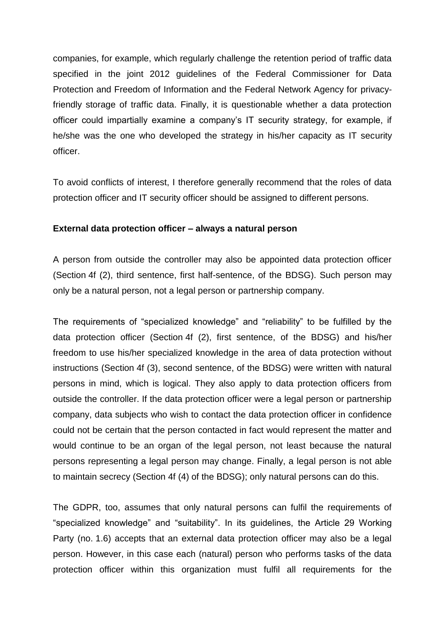companies, for example, which regularly challenge the retention period of traffic data specified in the joint 2012 guidelines of the Federal Commissioner for Data Protection and Freedom of Information and the Federal Network Agency for privacyfriendly storage of traffic data. Finally, it is questionable whether a data protection officer could impartially examine a company's IT security strategy, for example, if he/she was the one who developed the strategy in his/her capacity as IT security officer.

To avoid conflicts of interest, I therefore generally recommend that the roles of data protection officer and IT security officer should be assigned to different persons.

### **External data protection officer – always a natural person**

A person from outside the controller may also be appointed data protection officer (Section 4f (2), third sentence, first half-sentence, of the BDSG). Such person may only be a natural person, not a legal person or partnership company.

The requirements of "specialized knowledge" and "reliability" to be fulfilled by the data protection officer (Section 4f (2), first sentence, of the BDSG) and his/her freedom to use his/her specialized knowledge in the area of data protection without instructions (Section 4f (3), second sentence, of the BDSG) were written with natural persons in mind, which is logical. They also apply to data protection officers from outside the controller. If the data protection officer were a legal person or partnership company, data subjects who wish to contact the data protection officer in confidence could not be certain that the person contacted in fact would represent the matter and would continue to be an organ of the legal person, not least because the natural persons representing a legal person may change. Finally, a legal person is not able to maintain secrecy (Section 4f (4) of the BDSG); only natural persons can do this.

The GDPR, too, assumes that only natural persons can fulfil the requirements of "specialized knowledge" and "suitability". In its guidelines, the Article 29 Working Party (no. 1.6) accepts that an external data protection officer may also be a legal person. However, in this case each (natural) person who performs tasks of the data protection officer within this organization must fulfil all requirements for the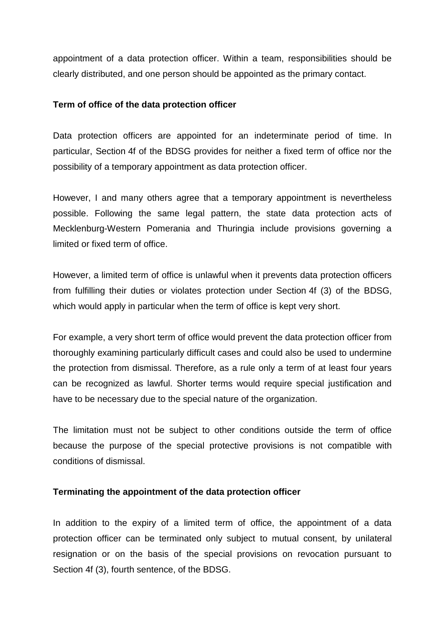appointment of a data protection officer. Within a team, responsibilities should be clearly distributed, and one person should be appointed as the primary contact.

### **Term of office of the data protection officer**

Data protection officers are appointed for an indeterminate period of time. In particular, Section 4f of the BDSG provides for neither a fixed term of office nor the possibility of a temporary appointment as data protection officer.

However, I and many others agree that a temporary appointment is nevertheless possible. Following the same legal pattern, the state data protection acts of Mecklenburg-Western Pomerania and Thuringia include provisions governing a limited or fixed term of office.

However, a limited term of office is unlawful when it prevents data protection officers from fulfilling their duties or violates protection under Section 4f (3) of the BDSG, which would apply in particular when the term of office is kept very short.

For example, a very short term of office would prevent the data protection officer from thoroughly examining particularly difficult cases and could also be used to undermine the protection from dismissal. Therefore, as a rule only a term of at least four years can be recognized as lawful. Shorter terms would require special justification and have to be necessary due to the special nature of the organization.

The limitation must not be subject to other conditions outside the term of office because the purpose of the special protective provisions is not compatible with conditions of dismissal.

### **Terminating the appointment of the data protection officer**

In addition to the expiry of a limited term of office, the appointment of a data protection officer can be terminated only subject to mutual consent, by unilateral resignation or on the basis of the special provisions on revocation pursuant to Section 4f (3), fourth sentence, of the BDSG.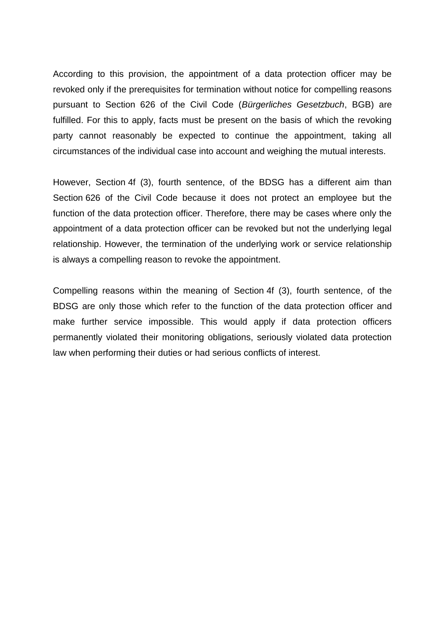According to this provision, the appointment of a data protection officer may be revoked only if the prerequisites for termination without notice for compelling reasons pursuant to Section 626 of the Civil Code (*Bürgerliches Gesetzbuch*, BGB) are fulfilled. For this to apply, facts must be present on the basis of which the revoking party cannot reasonably be expected to continue the appointment, taking all circumstances of the individual case into account and weighing the mutual interests.

However, Section 4f (3), fourth sentence, of the BDSG has a different aim than Section 626 of the Civil Code because it does not protect an employee but the function of the data protection officer. Therefore, there may be cases where only the appointment of a data protection officer can be revoked but not the underlying legal relationship. However, the termination of the underlying work or service relationship is always a compelling reason to revoke the appointment.

Compelling reasons within the meaning of Section 4f (3), fourth sentence, of the BDSG are only those which refer to the function of the data protection officer and make further service impossible. This would apply if data protection officers permanently violated their monitoring obligations, seriously violated data protection law when performing their duties or had serious conflicts of interest.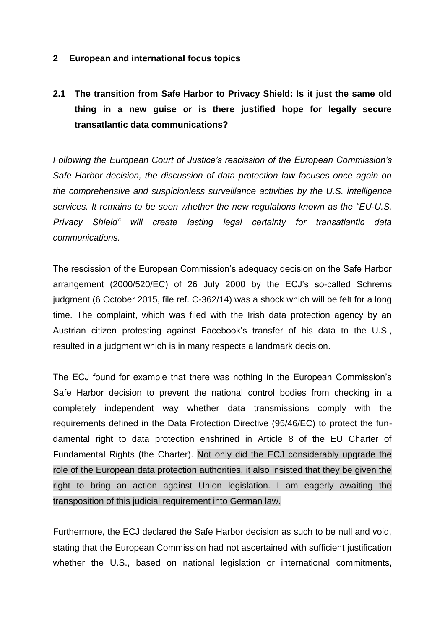#### **2 European and international focus topics**

# **2.1 The transition from Safe Harbor to Privacy Shield: Is it just the same old thing in a new guise or is there justified hope for legally secure transatlantic data communications?**

*Following the European Court of Justice's rescission of the European Commission's Safe Harbor decision, the discussion of data protection law focuses once again on the comprehensive and suspicionless surveillance activities by the U.S. intelligence services. It remains to be seen whether the new regulations known as the "EU-U.S. Privacy Shield" will create lasting legal certainty for transatlantic data communications.*

The rescission of the European Commission's adequacy decision on the Safe Harbor arrangement (2000/520/EC) of 26 July 2000 by the ECJ's so-called Schrems judgment (6 October 2015, file ref. C-362/14) was a shock which will be felt for a long time. The complaint, which was filed with the Irish data protection agency by an Austrian citizen protesting against Facebook's transfer of his data to the U.S., resulted in a judgment which is in many respects a landmark decision.

The ECJ found for example that there was nothing in the European Commission's Safe Harbor decision to prevent the national control bodies from checking in a completely independent way whether data transmissions comply with the requirements defined in the Data Protection Directive (95/46/EC) to protect the fundamental right to data protection enshrined in Article 8 of the EU Charter of Fundamental Rights (the Charter). Not only did the ECJ considerably upgrade the role of the European data protection authorities, it also insisted that they be given the right to bring an action against Union legislation. I am eagerly awaiting the transposition of this judicial requirement into German law.

Furthermore, the ECJ declared the Safe Harbor decision as such to be null and void, stating that the European Commission had not ascertained with sufficient justification whether the U.S., based on national legislation or international commitments,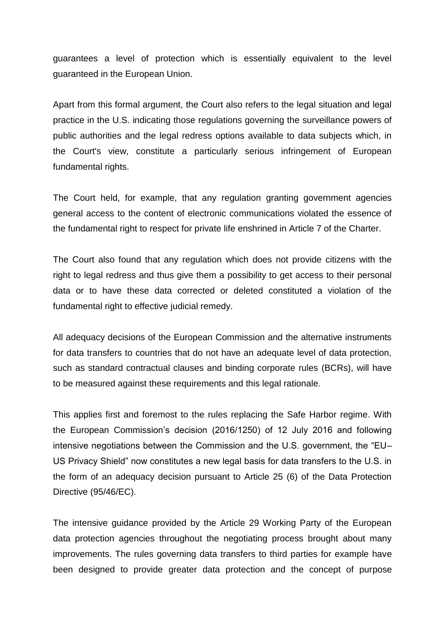guarantees a level of protection which is essentially equivalent to the level guaranteed in the European Union.

Apart from this formal argument, the Court also refers to the legal situation and legal practice in the U.S. indicating those regulations governing the surveillance powers of public authorities and the legal redress options available to data subjects which, in the Court's view, constitute a particularly serious infringement of European fundamental rights.

The Court held, for example, that any regulation granting government agencies general access to the content of electronic communications violated the essence of the fundamental right to respect for private life enshrined in Article 7 of the Charter.

The Court also found that any regulation which does not provide citizens with the right to legal redress and thus give them a possibility to get access to their personal data or to have these data corrected or deleted constituted a violation of the fundamental right to effective judicial remedy.

All adequacy decisions of the European Commission and the alternative instruments for data transfers to countries that do not have an adequate level of data protection, such as standard contractual clauses and binding corporate rules (BCRs), will have to be measured against these requirements and this legal rationale.

This applies first and foremost to the rules replacing the Safe Harbor regime. With the European Commission's decision (2016/1250) of 12 July 2016 and following intensive negotiations between the Commission and the U.S. government, the "EU– US Privacy Shield" now constitutes a new legal basis for data transfers to the U.S. in the form of an adequacy decision pursuant to Article 25 (6) of the Data Protection Directive (95/46/EC).

The intensive guidance provided by the Article 29 Working Party of the European data protection agencies throughout the negotiating process brought about many improvements. The rules governing data transfers to third parties for example have been designed to provide greater data protection and the concept of purpose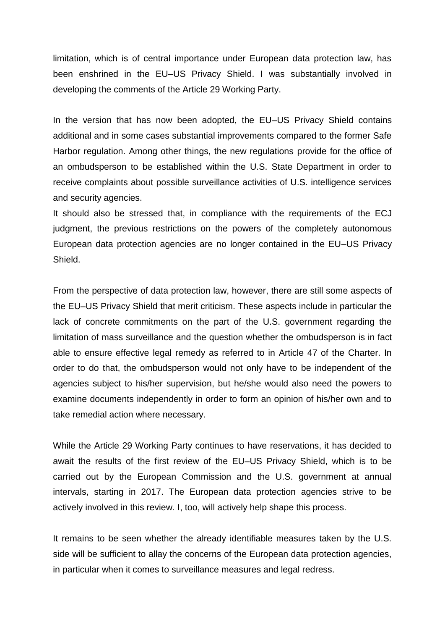limitation, which is of central importance under European data protection law, has been enshrined in the EU–US Privacy Shield. I was substantially involved in developing the comments of the Article 29 Working Party.

In the version that has now been adopted, the EU–US Privacy Shield contains additional and in some cases substantial improvements compared to the former Safe Harbor regulation. Among other things, the new regulations provide for the office of an ombudsperson to be established within the U.S. State Department in order to receive complaints about possible surveillance activities of U.S. intelligence services and security agencies.

It should also be stressed that, in compliance with the requirements of the ECJ judgment, the previous restrictions on the powers of the completely autonomous European data protection agencies are no longer contained in the EU–US Privacy Shield.

From the perspective of data protection law, however, there are still some aspects of the EU–US Privacy Shield that merit criticism. These aspects include in particular the lack of concrete commitments on the part of the U.S. government regarding the limitation of mass surveillance and the question whether the ombudsperson is in fact able to ensure effective legal remedy as referred to in Article 47 of the Charter. In order to do that, the ombudsperson would not only have to be independent of the agencies subject to his/her supervision, but he/she would also need the powers to examine documents independently in order to form an opinion of his/her own and to take remedial action where necessary.

While the Article 29 Working Party continues to have reservations, it has decided to await the results of the first review of the EU–US Privacy Shield, which is to be carried out by the European Commission and the U.S. government at annual intervals, starting in 2017. The European data protection agencies strive to be actively involved in this review. I, too, will actively help shape this process.

It remains to be seen whether the already identifiable measures taken by the U.S. side will be sufficient to allay the concerns of the European data protection agencies, in particular when it comes to surveillance measures and legal redress.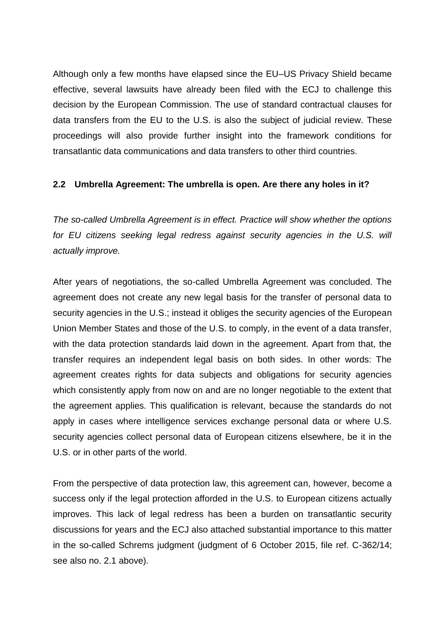Although only a few months have elapsed since the EU–US Privacy Shield became effective, several lawsuits have already been filed with the ECJ to challenge this decision by the European Commission. The use of standard contractual clauses for data transfers from the EU to the U.S. is also the subject of judicial review. These proceedings will also provide further insight into the framework conditions for transatlantic data communications and data transfers to other third countries.

## **2.2 Umbrella Agreement: The umbrella is open. Are there any holes in it?**

*The so-called Umbrella Agreement is in effect. Practice will show whether the options*  for EU citizens seeking legal redress against security agencies in the U.S. will *actually improve.*

After years of negotiations, the so-called Umbrella Agreement was concluded. The agreement does not create any new legal basis for the transfer of personal data to security agencies in the U.S.; instead it obliges the security agencies of the European Union Member States and those of the U.S. to comply, in the event of a data transfer, with the data protection standards laid down in the agreement. Apart from that, the transfer requires an independent legal basis on both sides. In other words: The agreement creates rights for data subjects and obligations for security agencies which consistently apply from now on and are no longer negotiable to the extent that the agreement applies. This qualification is relevant, because the standards do not apply in cases where intelligence services exchange personal data or where U.S. security agencies collect personal data of European citizens elsewhere, be it in the U.S. or in other parts of the world.

From the perspective of data protection law, this agreement can, however, become a success only if the legal protection afforded in the U.S. to European citizens actually improves. This lack of legal redress has been a burden on transatlantic security discussions for years and the ECJ also attached substantial importance to this matter in the so-called Schrems judgment (judgment of 6 October 2015, file ref. C-362/14; see also no. 2.1 above).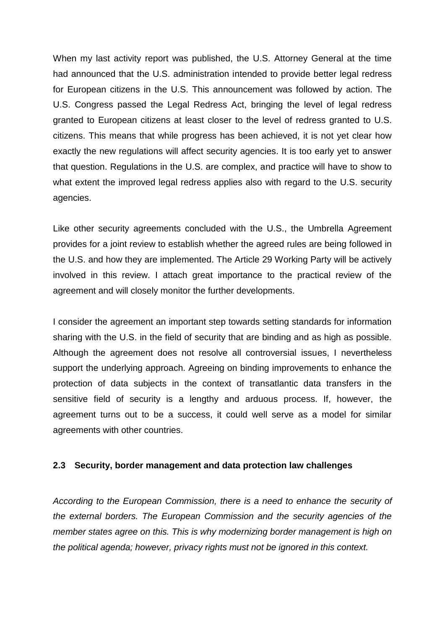When my last activity report was published, the U.S. Attorney General at the time had announced that the U.S. administration intended to provide better legal redress for European citizens in the U.S. This announcement was followed by action. The U.S. Congress passed the Legal Redress Act, bringing the level of legal redress granted to European citizens at least closer to the level of redress granted to U.S. citizens. This means that while progress has been achieved, it is not yet clear how exactly the new regulations will affect security agencies. It is too early yet to answer that question. Regulations in the U.S. are complex, and practice will have to show to what extent the improved legal redress applies also with regard to the U.S. security agencies.

Like other security agreements concluded with the U.S., the Umbrella Agreement provides for a joint review to establish whether the agreed rules are being followed in the U.S. and how they are implemented. The Article 29 Working Party will be actively involved in this review. I attach great importance to the practical review of the agreement and will closely monitor the further developments.

I consider the agreement an important step towards setting standards for information sharing with the U.S. in the field of security that are binding and as high as possible. Although the agreement does not resolve all controversial issues, I nevertheless support the underlying approach. Agreeing on binding improvements to enhance the protection of data subjects in the context of transatlantic data transfers in the sensitive field of security is a lengthy and arduous process. If, however, the agreement turns out to be a success, it could well serve as a model for similar agreements with other countries.

#### **2.3 Security, border management and data protection law challenges**

*According to the European Commission, there is a need to enhance the security of the external borders. The European Commission and the security agencies of the member states agree on this. This is why modernizing border management is high on the political agenda; however, privacy rights must not be ignored in this context.*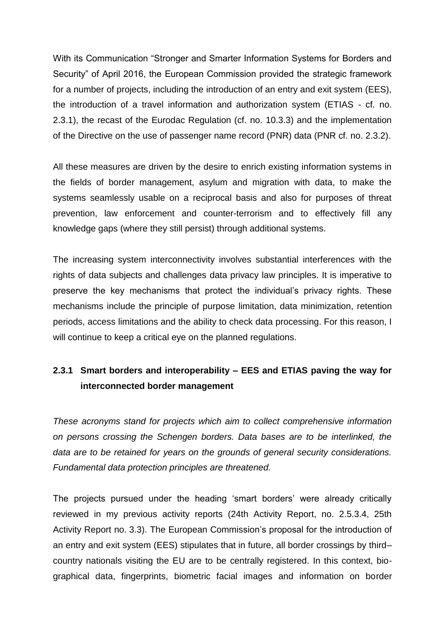With its Communication "Stronger and Smarter Information Systems for Borders and Security" of April 2016, the European Commission provided the strategic framework for a number of projects, including the introduction of an entry and exit system (EES), the introduction of a travel information and authorization system (ETIAS - cf. no. 2.3.1), the recast of the Eurodac Regulation (cf. no. 10.3.3) and the implementation of the Directive on the use of passenger name record (PNR) data (PNR cf. no. 2.3.2).

All these measures are driven by the desire to enrich existing information systems in the fields of border management, asylum and migration with data, to make the systems seamlessly usable on a reciprocal basis and also for purposes of threat prevention, law enforcement and counter-terrorism and to effectively fill any knowledge gaps (where they still persist) through additional systems.

The increasing system interconnectivity involves substantial interferences with the rights of data subjects and challenges data privacy law principles. It is imperative to preserve the key mechanisms that protect the individual's privacy rights. These mechanisms include the principle of purpose limitation, data minimization, retention periods, access limitations and the ability to check data processing. For this reason, I will continue to keep a critical eye on the planned regulations.

# **2.3.1 Smart borders and interoperability – EES and ETIAS paving the way for interconnected border management**

*These acronyms stand for projects which aim to collect comprehensive information on persons crossing the Schengen borders. Data bases are to be interlinked, the data are to be retained for years on the grounds of general security considerations. Fundamental data protection principles are threatened.*

The projects pursued under the heading 'smart borders' were already critically reviewed in my previous activity reports (24th Activity Report, no. 2.5.3.4, 25th Activity Report no. 3.3). The European Commission's proposal for the introduction of an entry and exit system (EES) stipulates that in future, all border crossings by third– country nationals visiting the EU are to be centrally registered. In this context, biographical data, fingerprints, biometric facial images and information on border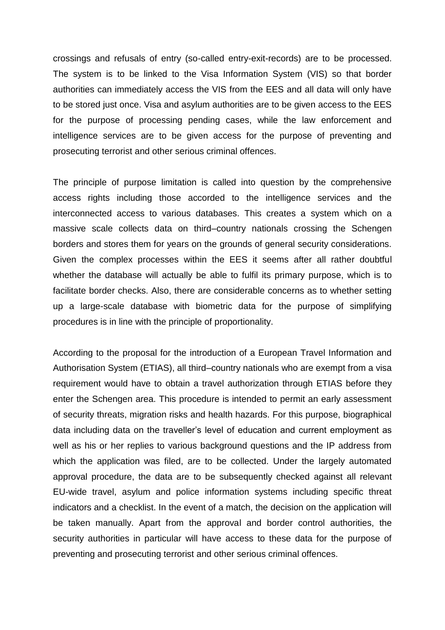crossings and refusals of entry (so-called entry-exit-records) are to be processed. The system is to be linked to the Visa Information System (VIS) so that border authorities can immediately access the VIS from the EES and all data will only have to be stored just once. Visa and asylum authorities are to be given access to the EES for the purpose of processing pending cases, while the law enforcement and intelligence services are to be given access for the purpose of preventing and prosecuting terrorist and other serious criminal offences.

The principle of purpose limitation is called into question by the comprehensive access rights including those accorded to the intelligence services and the interconnected access to various databases. This creates a system which on a massive scale collects data on third–country nationals crossing the Schengen borders and stores them for years on the grounds of general security considerations. Given the complex processes within the EES it seems after all rather doubtful whether the database will actually be able to fulfil its primary purpose, which is to facilitate border checks. Also, there are considerable concerns as to whether setting up a large-scale database with biometric data for the purpose of simplifying procedures is in line with the principle of proportionality.

According to the proposal for the introduction of a European Travel Information and Authorisation System (ETIAS), all third–country nationals who are exempt from a visa requirement would have to obtain a travel authorization through ETIAS before they enter the Schengen area. This procedure is intended to permit an early assessment of security threats, migration risks and health hazards. For this purpose, biographical data including data on the traveller's level of education and current employment as well as his or her replies to various background questions and the IP address from which the application was filed, are to be collected. Under the largely automated approval procedure, the data are to be subsequently checked against all relevant EU-wide travel, asylum and police information systems including specific threat indicators and a checklist. In the event of a match, the decision on the application will be taken manually. Apart from the approval and border control authorities, the security authorities in particular will have access to these data for the purpose of preventing and prosecuting terrorist and other serious criminal offences.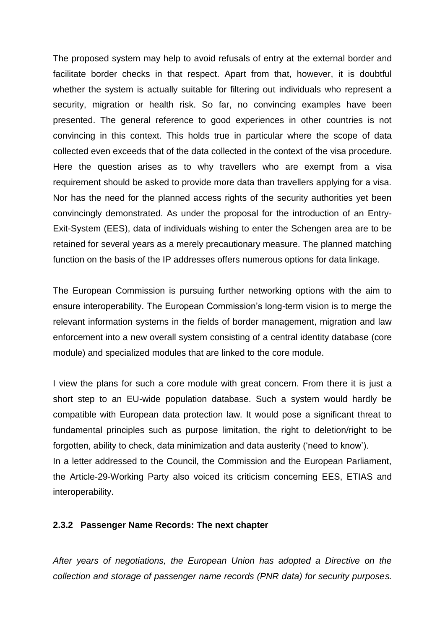The proposed system may help to avoid refusals of entry at the external border and facilitate border checks in that respect. Apart from that, however, it is doubtful whether the system is actually suitable for filtering out individuals who represent a security, migration or health risk. So far, no convincing examples have been presented. The general reference to good experiences in other countries is not convincing in this context. This holds true in particular where the scope of data collected even exceeds that of the data collected in the context of the visa procedure. Here the question arises as to why travellers who are exempt from a visa requirement should be asked to provide more data than travellers applying for a visa. Nor has the need for the planned access rights of the security authorities yet been convincingly demonstrated. As under the proposal for the introduction of an Entry-Exit-System (EES), data of individuals wishing to enter the Schengen area are to be retained for several years as a merely precautionary measure. The planned matching function on the basis of the IP addresses offers numerous options for data linkage.

The European Commission is pursuing further networking options with the aim to ensure interoperability. The European Commission's long-term vision is to merge the relevant information systems in the fields of border management, migration and law enforcement into a new overall system consisting of a central identity database (core module) and specialized modules that are linked to the core module.

I view the plans for such a core module with great concern. From there it is just a short step to an EU-wide population database. Such a system would hardly be compatible with European data protection law. It would pose a significant threat to fundamental principles such as purpose limitation, the right to deletion/right to be forgotten, ability to check, data minimization and data austerity ('need to know'). In a letter addressed to the Council, the Commission and the European Parliament, the Article-29-Working Party also voiced its criticism concerning EES, ETIAS and interoperability.

## **2.3.2 Passenger Name Records: The next chapter**

*After years of negotiations, the European Union has adopted a Directive on the collection and storage of passenger name records (PNR data) for security purposes.*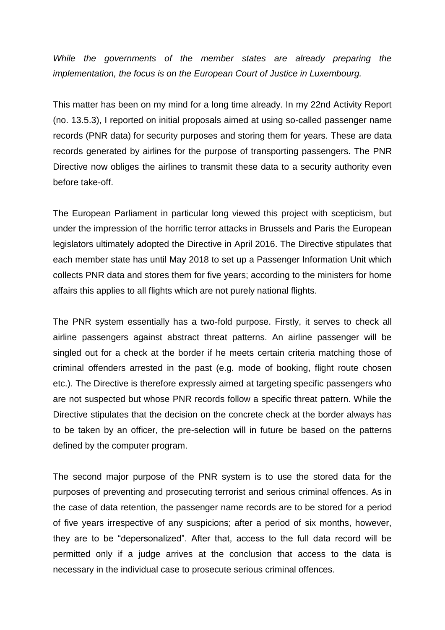*While the governments of the member states are already preparing the implementation, the focus is on the European Court of Justice in Luxembourg.*

This matter has been on my mind for a long time already. In my 22nd Activity Report (no. 13.5.3), I reported on initial proposals aimed at using so-called passenger name records (PNR data) for security purposes and storing them for years. These are data records generated by airlines for the purpose of transporting passengers. The PNR Directive now obliges the airlines to transmit these data to a security authority even before take-off.

The European Parliament in particular long viewed this project with scepticism, but under the impression of the horrific terror attacks in Brussels and Paris the European legislators ultimately adopted the Directive in April 2016. The Directive stipulates that each member state has until May 2018 to set up a Passenger Information Unit which collects PNR data and stores them for five years; according to the ministers for home affairs this applies to all flights which are not purely national flights.

The PNR system essentially has a two-fold purpose. Firstly, it serves to check all airline passengers against abstract threat patterns. An airline passenger will be singled out for a check at the border if he meets certain criteria matching those of criminal offenders arrested in the past (e.g. mode of booking, flight route chosen etc.). The Directive is therefore expressly aimed at targeting specific passengers who are not suspected but whose PNR records follow a specific threat pattern. While the Directive stipulates that the decision on the concrete check at the border always has to be taken by an officer, the pre-selection will in future be based on the patterns defined by the computer program.

The second major purpose of the PNR system is to use the stored data for the purposes of preventing and prosecuting terrorist and serious criminal offences. As in the case of data retention, the passenger name records are to be stored for a period of five years irrespective of any suspicions; after a period of six months, however, they are to be "depersonalized". After that, access to the full data record will be permitted only if a judge arrives at the conclusion that access to the data is necessary in the individual case to prosecute serious criminal offences.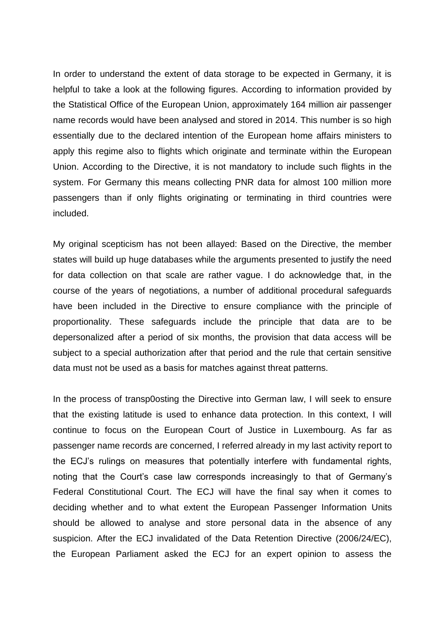In order to understand the extent of data storage to be expected in Germany, it is helpful to take a look at the following figures. According to information provided by the Statistical Office of the European Union, approximately 164 million air passenger name records would have been analysed and stored in 2014. This number is so high essentially due to the declared intention of the European home affairs ministers to apply this regime also to flights which originate and terminate within the European Union. According to the Directive, it is not mandatory to include such flights in the system. For Germany this means collecting PNR data for almost 100 million more passengers than if only flights originating or terminating in third countries were included.

My original scepticism has not been allayed: Based on the Directive, the member states will build up huge databases while the arguments presented to justify the need for data collection on that scale are rather vague. I do acknowledge that, in the course of the years of negotiations, a number of additional procedural safeguards have been included in the Directive to ensure compliance with the principle of proportionality. These safeguards include the principle that data are to be depersonalized after a period of six months, the provision that data access will be subject to a special authorization after that period and the rule that certain sensitive data must not be used as a basis for matches against threat patterns.

In the process of transp0osting the Directive into German law, I will seek to ensure that the existing latitude is used to enhance data protection. In this context, I will continue to focus on the European Court of Justice in Luxembourg. As far as passenger name records are concerned, I referred already in my last activity report to the ECJ's rulings on measures that potentially interfere with fundamental rights, noting that the Court's case law corresponds increasingly to that of Germany's Federal Constitutional Court. The ECJ will have the final say when it comes to deciding whether and to what extent the European Passenger Information Units should be allowed to analyse and store personal data in the absence of any suspicion. After the ECJ invalidated of the Data Retention Directive (2006/24/EC), the European Parliament asked the ECJ for an expert opinion to assess the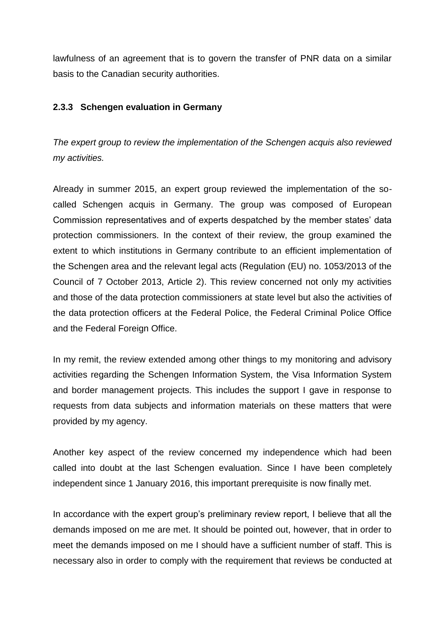lawfulness of an agreement that is to govern the transfer of PNR data on a similar basis to the Canadian security authorities.

## **2.3.3 Schengen evaluation in Germany**

*The expert group to review the implementation of the Schengen acquis also reviewed my activities.*

Already in summer 2015, an expert group reviewed the implementation of the socalled Schengen acquis in Germany. The group was composed of European Commission representatives and of experts despatched by the member states' data protection commissioners. In the context of their review, the group examined the extent to which institutions in Germany contribute to an efficient implementation of the Schengen area and the relevant legal acts (Regulation (EU) no. 1053/2013 of the Council of 7 October 2013, Article 2). This review concerned not only my activities and those of the data protection commissioners at state level but also the activities of the data protection officers at the Federal Police, the Federal Criminal Police Office and the Federal Foreign Office.

In my remit, the review extended among other things to my monitoring and advisory activities regarding the Schengen Information System, the Visa Information System and border management projects. This includes the support I gave in response to requests from data subjects and information materials on these matters that were provided by my agency.

Another key aspect of the review concerned my independence which had been called into doubt at the last Schengen evaluation. Since I have been completely independent since 1 January 2016, this important prerequisite is now finally met.

In accordance with the expert group's preliminary review report, I believe that all the demands imposed on me are met. It should be pointed out, however, that in order to meet the demands imposed on me I should have a sufficient number of staff. This is necessary also in order to comply with the requirement that reviews be conducted at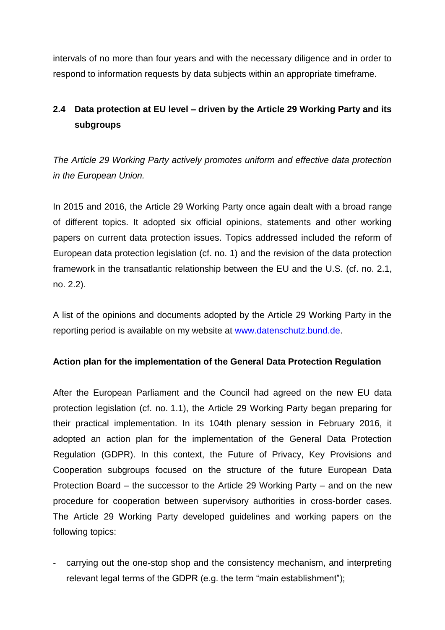intervals of no more than four years and with the necessary diligence and in order to respond to information requests by data subjects within an appropriate timeframe.

# **2.4 Data protection at EU level – driven by the Article 29 Working Party and its subgroups**

*The Article 29 Working Party actively promotes uniform and effective data protection in the European Union.*

In 2015 and 2016, the Article 29 Working Party once again dealt with a broad range of different topics. It adopted six official opinions, statements and other working papers on current data protection issues. Topics addressed included the reform of European data protection legislation (cf. no. 1) and the revision of the data protection framework in the transatlantic relationship between the EU and the U.S. (cf. no. 2.1, no. 2.2).

A list of the opinions and documents adopted by the Article 29 Working Party in the reporting period is available on my website at [www.datenschutz.bund.de.](http://www.datenschutz.bund.de/)

## **Action plan for the implementation of the General Data Protection Regulation**

After the European Parliament and the Council had agreed on the new EU data protection legislation (cf. no. 1.1), the Article 29 Working Party began preparing for their practical implementation. In its 104th plenary session in February 2016, it adopted an action plan for the implementation of the General Data Protection Regulation (GDPR). In this context, the Future of Privacy, Key Provisions and Cooperation subgroups focused on the structure of the future European Data Protection Board – the successor to the Article 29 Working Party – and on the new procedure for cooperation between supervisory authorities in cross-border cases. The Article 29 Working Party developed guidelines and working papers on the following topics:

- carrying out the one-stop shop and the consistency mechanism, and interpreting relevant legal terms of the GDPR (e.g. the term "main establishment");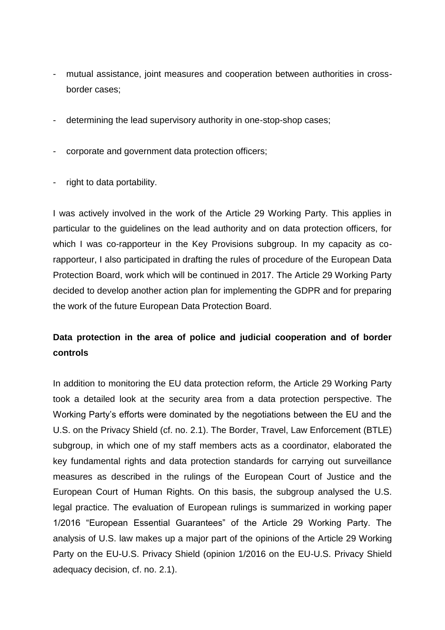- mutual assistance, joint measures and cooperation between authorities in crossborder cases;
- determining the lead supervisory authority in one-stop-shop cases;
- corporate and government data protection officers;
- right to data portability.

I was actively involved in the work of the Article 29 Working Party. This applies in particular to the guidelines on the lead authority and on data protection officers, for which I was co-rapporteur in the Key Provisions subgroup. In my capacity as corapporteur, I also participated in drafting the rules of procedure of the European Data Protection Board, work which will be continued in 2017. The Article 29 Working Party decided to develop another action plan for implementing the GDPR and for preparing the work of the future European Data Protection Board.

## **Data protection in the area of police and judicial cooperation and of border controls**

In addition to monitoring the EU data protection reform, the Article 29 Working Party took a detailed look at the security area from a data protection perspective. The Working Party's efforts were dominated by the negotiations between the EU and the U.S. on the Privacy Shield (cf. no. 2.1). The Border, Travel, Law Enforcement (BTLE) subgroup, in which one of my staff members acts as a coordinator, elaborated the key fundamental rights and data protection standards for carrying out surveillance measures as described in the rulings of the European Court of Justice and the European Court of Human Rights. On this basis, the subgroup analysed the U.S. legal practice. The evaluation of European rulings is summarized in working paper 1/2016 "European Essential Guarantees" of the Article 29 Working Party. The analysis of U.S. law makes up a major part of the opinions of the Article 29 Working Party on the EU-U.S. Privacy Shield (opinion 1/2016 on the EU-U.S. Privacy Shield adequacy decision, cf. no. 2.1).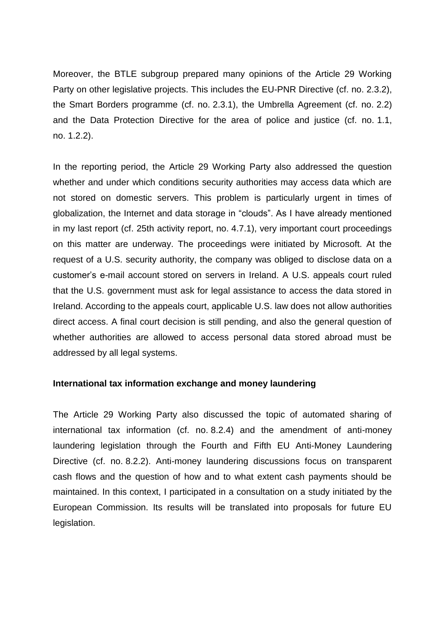Moreover, the BTLE subgroup prepared many opinions of the Article 29 Working Party on other legislative projects. This includes the EU-PNR Directive (cf. no. 2.3.2), the Smart Borders programme (cf. no. 2.3.1), the Umbrella Agreement (cf. no. 2.2) and the Data Protection Directive for the area of police and justice (cf. no. 1.1, no. 1.2.2).

In the reporting period, the Article 29 Working Party also addressed the question whether and under which conditions security authorities may access data which are not stored on domestic servers. This problem is particularly urgent in times of globalization, the Internet and data storage in "clouds". As I have already mentioned in my last report (cf. 25th activity report, no. 4.7.1), very important court proceedings on this matter are underway. The proceedings were initiated by Microsoft. At the request of a U.S. security authority, the company was obliged to disclose data on a customer's e-mail account stored on servers in Ireland. A U.S. appeals court ruled that the U.S. government must ask for legal assistance to access the data stored in Ireland. According to the appeals court, applicable U.S. law does not allow authorities direct access. A final court decision is still pending, and also the general question of whether authorities are allowed to access personal data stored abroad must be addressed by all legal systems.

## **International tax information exchange and money laundering**

The Article 29 Working Party also discussed the topic of automated sharing of international tax information (cf. no. 8.2.4) and the amendment of anti-money laundering legislation through the Fourth and Fifth EU Anti-Money Laundering Directive (cf. no. 8.2.2). Anti-money laundering discussions focus on transparent cash flows and the question of how and to what extent cash payments should be maintained. In this context, I participated in a consultation on a study initiated by the European Commission. Its results will be translated into proposals for future EU legislation.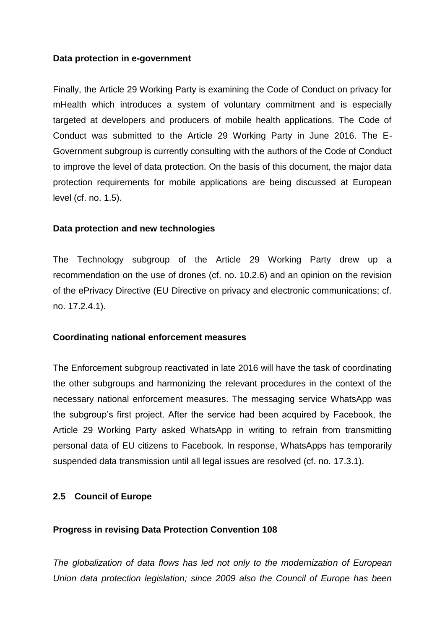#### **Data protection in e-government**

Finally, the Article 29 Working Party is examining the Code of Conduct on privacy for mHealth which introduces a system of voluntary commitment and is especially targeted at developers and producers of mobile health applications. The Code of Conduct was submitted to the Article 29 Working Party in June 2016. The E-Government subgroup is currently consulting with the authors of the Code of Conduct to improve the level of data protection. On the basis of this document, the major data protection requirements for mobile applications are being discussed at European level (cf. no. 1.5).

#### **Data protection and new technologies**

The Technology subgroup of the Article 29 Working Party drew up a recommendation on the use of drones (cf. no. 10.2.6) and an opinion on the revision of the ePrivacy Directive (EU Directive on privacy and electronic communications; cf. no. 17.2.4.1).

## **Coordinating national enforcement measures**

The Enforcement subgroup reactivated in late 2016 will have the task of coordinating the other subgroups and harmonizing the relevant procedures in the context of the necessary national enforcement measures. The messaging service WhatsApp was the subgroup's first project. After the service had been acquired by Facebook, the Article 29 Working Party asked WhatsApp in writing to refrain from transmitting personal data of EU citizens to Facebook. In response, WhatsApps has temporarily suspended data transmission until all legal issues are resolved (cf. no. 17.3.1).

## **2.5 Council of Europe**

## **Progress in revising Data Protection Convention 108**

*The globalization of data flows has led not only to the modernization of European Union data protection legislation; since 2009 also the Council of Europe has been*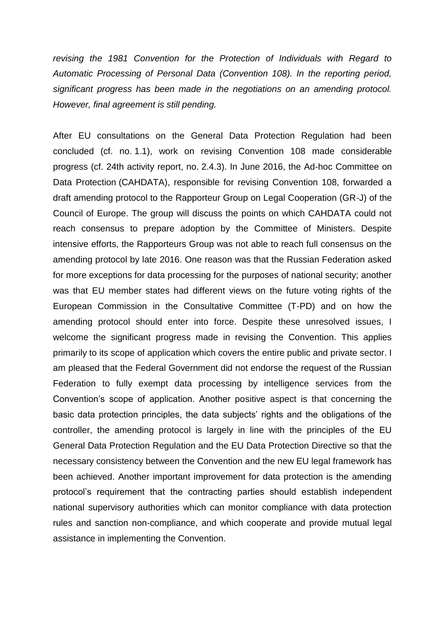*revising the 1981 Convention for the Protection of Individuals with Regard to Automatic Processing of Personal Data (Convention 108). In the reporting period, significant progress has been made in the negotiations on an amending protocol. However, final agreement is still pending.*

After EU consultations on the General Data Protection Regulation had been concluded (cf. no. 1.1), work on revising Convention 108 made considerable progress (cf. 24th activity report, no. 2.4.3). In June 2016, the Ad-hoc Committee on Data Protection (CAHDATA), responsible for revising Convention 108, forwarded a draft amending protocol to the Rapporteur Group on Legal Cooperation (GR-J) of the Council of Europe. The group will discuss the points on which CAHDATA could not reach consensus to prepare adoption by the Committee of Ministers. Despite intensive efforts, the Rapporteurs Group was not able to reach full consensus on the amending protocol by late 2016. One reason was that the Russian Federation asked for more exceptions for data processing for the purposes of national security; another was that EU member states had different views on the future voting rights of the European Commission in the Consultative Committee (T-PD) and on how the amending protocol should enter into force. Despite these unresolved issues, I welcome the significant progress made in revising the Convention. This applies primarily to its scope of application which covers the entire public and private sector. I am pleased that the Federal Government did not endorse the request of the Russian Federation to fully exempt data processing by intelligence services from the Convention's scope of application. Another positive aspect is that concerning the basic data protection principles, the data subjects' rights and the obligations of the controller, the amending protocol is largely in line with the principles of the EU General Data Protection Regulation and the EU Data Protection Directive so that the necessary consistency between the Convention and the new EU legal framework has been achieved. Another important improvement for data protection is the amending protocol's requirement that the contracting parties should establish independent national supervisory authorities which can monitor compliance with data protection rules and sanction non-compliance, and which cooperate and provide mutual legal assistance in implementing the Convention.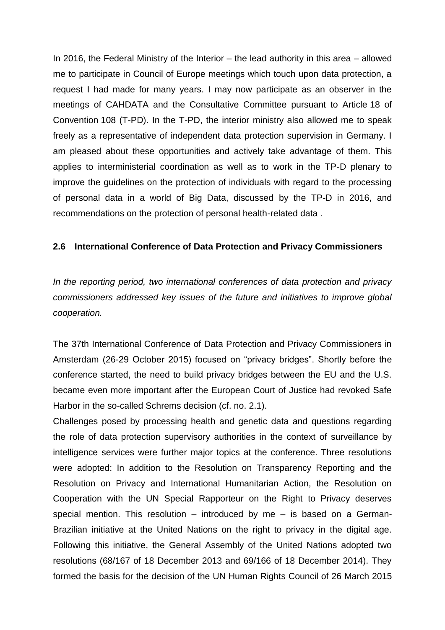In 2016, the Federal Ministry of the Interior – the lead authority in this area – allowed me to participate in Council of Europe meetings which touch upon data protection, a request I had made for many years. I may now participate as an observer in the meetings of CAHDATA and the Consultative Committee pursuant to Article 18 of Convention 108 (T-PD). In the T-PD, the interior ministry also allowed me to speak freely as a representative of independent data protection supervision in Germany. I am pleased about these opportunities and actively take advantage of them. This applies to interministerial coordination as well as to work in the TP-D plenary to improve the guidelines on the protection of individuals with regard to the processing of personal data in a world of Big Data, discussed by the TP-D in 2016, and recommendations on the protection of personal health-related data .

## **2.6 International Conference of Data Protection and Privacy Commissioners**

*In the reporting period, two international conferences of data protection and privacy commissioners addressed key issues of the future and initiatives to improve global cooperation.*

The 37th International Conference of Data Protection and Privacy Commissioners in Amsterdam (26-29 October 2015) focused on "privacy bridges". Shortly before the conference started, the need to build privacy bridges between the EU and the U.S. became even more important after the European Court of Justice had revoked Safe Harbor in the so-called Schrems decision (cf. no. 2.1).

Challenges posed by processing health and genetic data and questions regarding the role of data protection supervisory authorities in the context of surveillance by intelligence services were further major topics at the conference. Three resolutions were adopted: In addition to the Resolution on Transparency Reporting and the Resolution on Privacy and International Humanitarian Action, the Resolution on Cooperation with the UN Special Rapporteur on the Right to Privacy deserves special mention. This resolution – introduced by me – is based on a German-Brazilian initiative at the United Nations on the right to privacy in the digital age. Following this initiative, the General Assembly of the United Nations adopted two resolutions (68/167 of 18 December 2013 and 69/166 of 18 December 2014). They formed the basis for the decision of the UN Human Rights Council of 26 March 2015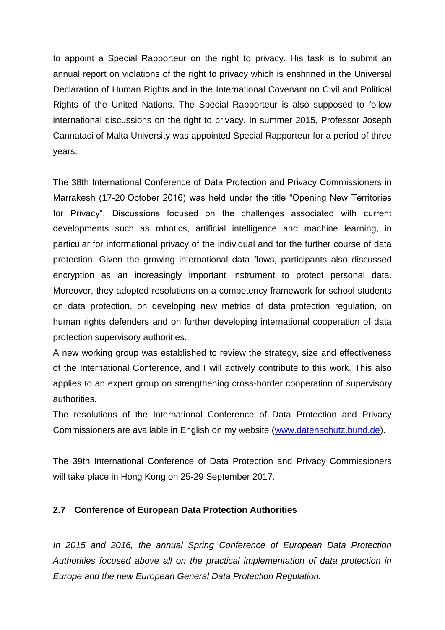to appoint a Special Rapporteur on the right to privacy. His task is to submit an annual report on violations of the right to privacy which is enshrined in the Universal Declaration of Human Rights and in the International Covenant on Civil and Political Rights of the United Nations. The Special Rapporteur is also supposed to follow international discussions on the right to privacy. In summer 2015, Professor Joseph Cannataci of Malta University was appointed Special Rapporteur for a period of three years.

The 38th International Conference of Data Protection and Privacy Commissioners in Marrakesh (17-20 October 2016) was held under the title "Opening New Territories for Privacy". Discussions focused on the challenges associated with current developments such as robotics, artificial intelligence and machine learning, in particular for informational privacy of the individual and for the further course of data protection. Given the growing international data flows, participants also discussed encryption as an increasingly important instrument to protect personal data. Moreover, they adopted resolutions on a competency framework for school students on data protection, on developing new metrics of data protection regulation, on human rights defenders and on further developing international cooperation of data protection supervisory authorities.

A new working group was established to review the strategy, size and effectiveness of the International Conference, and I will actively contribute to this work. This also applies to an expert group on strengthening cross-border cooperation of supervisory authorities.

The resolutions of the International Conference of Data Protection and Privacy Commissioners are available in English on my website [\(www.datenschutz.bund.de\)](http://www.datenschutz.bund.de/).

The 39th International Conference of Data Protection and Privacy Commissioners will take place in Hong Kong on 25-29 September 2017.

## **2.7 Conference of European Data Protection Authorities**

*In 2015 and 2016, the annual Spring Conference of European Data Protection Authorities focused above all on the practical implementation of data protection in Europe and the new European General Data Protection Regulation.*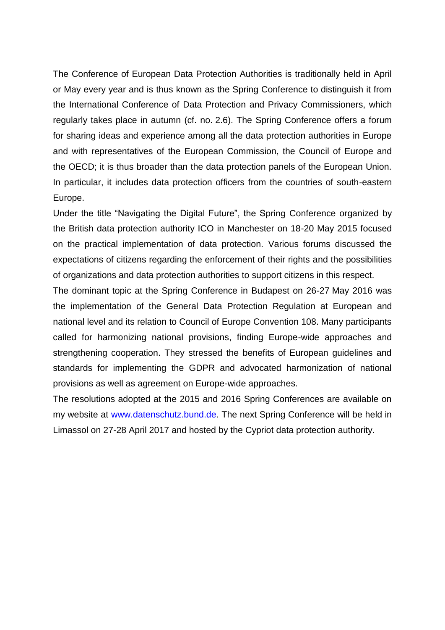The Conference of European Data Protection Authorities is traditionally held in April or May every year and is thus known as the Spring Conference to distinguish it from the International Conference of Data Protection and Privacy Commissioners, which regularly takes place in autumn (cf. no. 2.6). The Spring Conference offers a forum for sharing ideas and experience among all the data protection authorities in Europe and with representatives of the European Commission, the Council of Europe and the OECD; it is thus broader than the data protection panels of the European Union. In particular, it includes data protection officers from the countries of south-eastern Europe.

Under the title "Navigating the Digital Future", the Spring Conference organized by the British data protection authority ICO in Manchester on 18-20 May 2015 focused on the practical implementation of data protection. Various forums discussed the expectations of citizens regarding the enforcement of their rights and the possibilities of organizations and data protection authorities to support citizens in this respect.

The dominant topic at the Spring Conference in Budapest on 26-27 May 2016 was the implementation of the General Data Protection Regulation at European and national level and its relation to Council of Europe Convention 108. Many participants called for harmonizing national provisions, finding Europe-wide approaches and strengthening cooperation. They stressed the benefits of European guidelines and standards for implementing the GDPR and advocated harmonization of national provisions as well as agreement on Europe-wide approaches.

The resolutions adopted at the 2015 and 2016 Spring Conferences are available on my website at [www.datenschutz.bund.de.](file://///bonn/schreib/_ref14/26%20TB/Redaktionsteam/www.datenschutz.bund.de) The next Spring Conference will be held in Limassol on 27-28 April 2017 and hosted by the Cypriot data protection authority.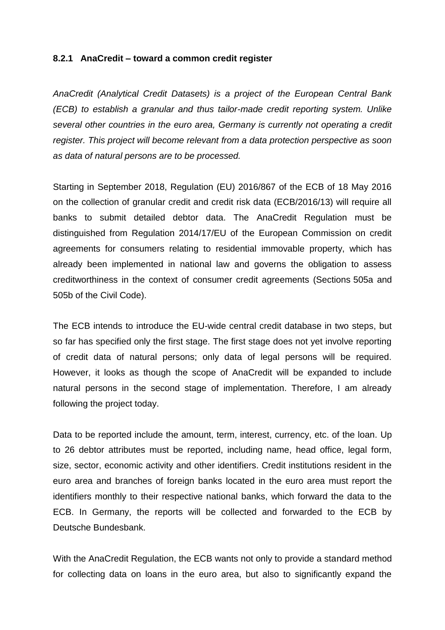#### **8.2.1 AnaCredit – toward a common credit register**

*AnaCredit (Analytical Credit Datasets) is a project of the European Central Bank (ECB) to establish a granular and thus tailor-made credit reporting system. Unlike several other countries in the euro area, Germany is currently not operating a credit register. This project will become relevant from a data protection perspective as soon as data of natural persons are to be processed.*

Starting in September 2018, Regulation (EU) 2016/867 of the ECB of 18 May 2016 on the collection of granular credit and credit risk data (ECB/2016/13) will require all banks to submit detailed debtor data. The AnaCredit Regulation must be distinguished from Regulation 2014/17/EU of the European Commission on credit agreements for consumers relating to residential immovable property, which has already been implemented in national law and governs the obligation to assess creditworthiness in the context of consumer credit agreements (Sections 505a and 505b of the Civil Code).

The ECB intends to introduce the EU-wide central credit database in two steps, but so far has specified only the first stage. The first stage does not yet involve reporting of credit data of natural persons; only data of legal persons will be required. However, it looks as though the scope of AnaCredit will be expanded to include natural persons in the second stage of implementation. Therefore, I am already following the project today.

Data to be reported include the amount, term, interest, currency, etc. of the loan. Up to 26 debtor attributes must be reported, including name, head office, legal form, size, sector, economic activity and other identifiers. Credit institutions resident in the euro area and branches of foreign banks located in the euro area must report the identifiers monthly to their respective national banks, which forward the data to the ECB. In Germany, the reports will be collected and forwarded to the ECB by Deutsche Bundesbank.

With the AnaCredit Regulation, the ECB wants not only to provide a standard method for collecting data on loans in the euro area, but also to significantly expand the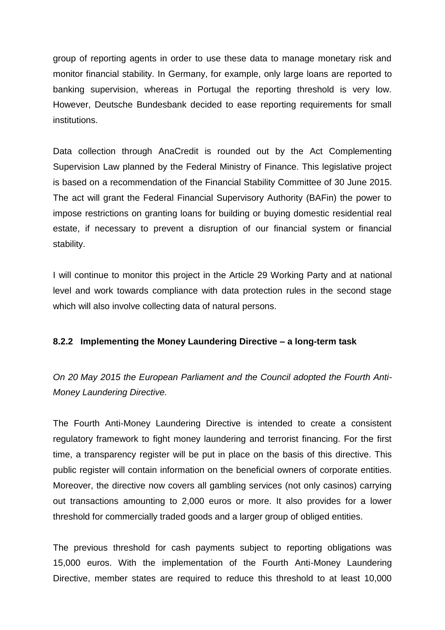group of reporting agents in order to use these data to manage monetary risk and monitor financial stability. In Germany, for example, only large loans are reported to banking supervision, whereas in Portugal the reporting threshold is very low. However, Deutsche Bundesbank decided to ease reporting requirements for small institutions.

Data collection through AnaCredit is rounded out by the Act Complementing Supervision Law planned by the Federal Ministry of Finance. This legislative project is based on a recommendation of the Financial Stability Committee of 30 June 2015. The act will grant the Federal Financial Supervisory Authority (BAFin) the power to impose restrictions on granting loans for building or buying domestic residential real estate, if necessary to prevent a disruption of our financial system or financial stability.

I will continue to monitor this project in the Article 29 Working Party and at national level and work towards compliance with data protection rules in the second stage which will also involve collecting data of natural persons.

## **8.2.2 Implementing the Money Laundering Directive – a long-term task**

*On 20 May 2015 the European Parliament and the Council adopted the Fourth Anti-Money Laundering Directive.*

The Fourth Anti-Money Laundering Directive is intended to create a consistent regulatory framework to fight money laundering and terrorist financing. For the first time, a transparency register will be put in place on the basis of this directive. This public register will contain information on the beneficial owners of corporate entities. Moreover, the directive now covers all gambling services (not only casinos) carrying out transactions amounting to 2,000 euros or more. It also provides for a lower threshold for commercially traded goods and a larger group of obliged entities.

The previous threshold for cash payments subject to reporting obligations was 15,000 euros. With the implementation of the Fourth Anti-Money Laundering Directive, member states are required to reduce this threshold to at least 10,000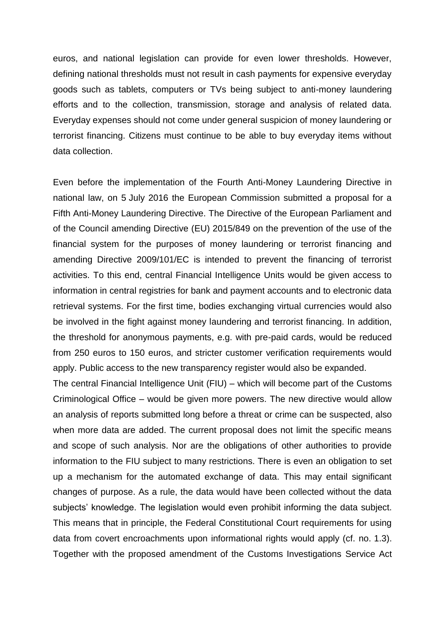euros, and national legislation can provide for even lower thresholds. However, defining national thresholds must not result in cash payments for expensive everyday goods such as tablets, computers or TVs being subject to anti-money laundering efforts and to the collection, transmission, storage and analysis of related data. Everyday expenses should not come under general suspicion of money laundering or terrorist financing. Citizens must continue to be able to buy everyday items without data collection.

Even before the implementation of the Fourth Anti-Money Laundering Directive in national law, on 5 July 2016 the European Commission submitted a proposal for a Fifth Anti-Money Laundering Directive. The Directive of the European Parliament and of the Council amending Directive (EU) 2015/849 on the prevention of the use of the financial system for the purposes of money laundering or terrorist financing and amending Directive 2009/101/EC is intended to prevent the financing of terrorist activities. To this end, central Financial Intelligence Units would be given access to information in central registries for bank and payment accounts and to electronic data retrieval systems. For the first time, bodies exchanging virtual currencies would also be involved in the fight against money laundering and terrorist financing. In addition, the threshold for anonymous payments, e.g. with pre-paid cards, would be reduced from 250 euros to 150 euros, and stricter customer verification requirements would apply. Public access to the new transparency register would also be expanded.

The central Financial Intelligence Unit (FIU) – which will become part of the Customs Criminological Office – would be given more powers. The new directive would allow an analysis of reports submitted long before a threat or crime can be suspected, also when more data are added. The current proposal does not limit the specific means and scope of such analysis. Nor are the obligations of other authorities to provide information to the FIU subject to many restrictions. There is even an obligation to set up a mechanism for the automated exchange of data. This may entail significant changes of purpose. As a rule, the data would have been collected without the data subjects' knowledge. The legislation would even prohibit informing the data subject. This means that in principle, the Federal Constitutional Court requirements for using data from covert encroachments upon informational rights would apply (cf. no. 1.3). Together with the proposed amendment of the Customs Investigations Service Act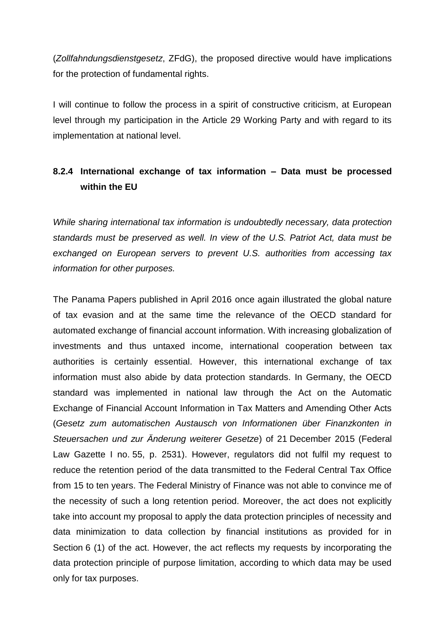(*Zollfahndungsdienstgesetz*, ZFdG), the proposed directive would have implications for the protection of fundamental rights.

I will continue to follow the process in a spirit of constructive criticism, at European level through my participation in the Article 29 Working Party and with regard to its implementation at national level.

## **8.2.4 International exchange of tax information – Data must be processed within the EU**

*While sharing international tax information is undoubtedly necessary, data protection standards must be preserved as well. In view of the U.S. Patriot Act, data must be exchanged on European servers to prevent U.S. authorities from accessing tax information for other purposes.*

The Panama Papers published in April 2016 once again illustrated the global nature of tax evasion and at the same time the relevance of the OECD standard for automated exchange of financial account information. With increasing globalization of investments and thus untaxed income, international cooperation between tax authorities is certainly essential. However, this international exchange of tax information must also abide by data protection standards. In Germany, the OECD standard was implemented in national law through the Act on the Automatic Exchange of Financial Account Information in Tax Matters and Amending Other Acts (*Gesetz zum automatischen Austausch von Informationen über Finanzkonten in Steuersachen und zur Änderung weiterer Gesetze*) of 21 December 2015 (Federal Law Gazette I no. 55, p. 2531). However, regulators did not fulfil my request to reduce the retention period of the data transmitted to the Federal Central Tax Office from 15 to ten years. The Federal Ministry of Finance was not able to convince me of the necessity of such a long retention period. Moreover, the act does not explicitly take into account my proposal to apply the data protection principles of necessity and data minimization to data collection by financial institutions as provided for in Section 6 (1) of the act. However, the act reflects my requests by incorporating the data protection principle of purpose limitation, according to which data may be used only for tax purposes.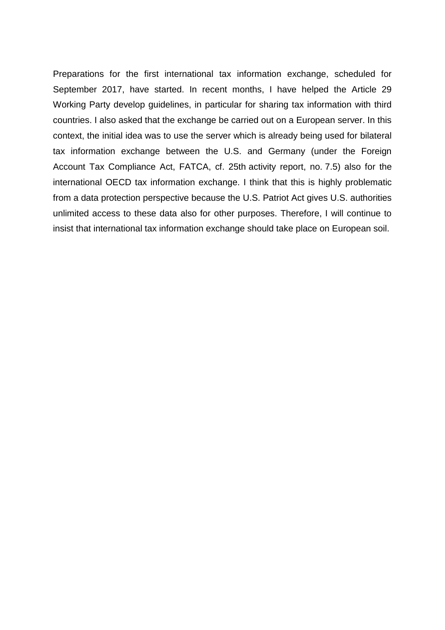Preparations for the first international tax information exchange, scheduled for September 2017, have started. In recent months, I have helped the Article 29 Working Party develop guidelines, in particular for sharing tax information with third countries. I also asked that the exchange be carried out on a European server. In this context, the initial idea was to use the server which is already being used for bilateral tax information exchange between the U.S. and Germany (under the Foreign Account Tax Compliance Act, FATCA, cf. 25th activity report, no. 7.5) also for the international OECD tax information exchange. I think that this is highly problematic from a data protection perspective because the U.S. Patriot Act gives U.S. authorities unlimited access to these data also for other purposes. Therefore, I will continue to insist that international tax information exchange should take place on European soil.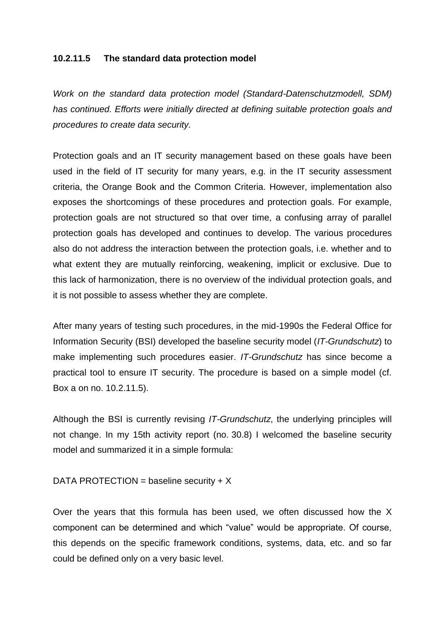#### **10.2.11.5 The standard data protection model**

*Work on the standard data protection model (Standard-Datenschutzmodell, SDM) has continued. Efforts were initially directed at defining suitable protection goals and procedures to create data security.*

Protection goals and an IT security management based on these goals have been used in the field of IT security for many years, e.g. in the IT security assessment criteria, the Orange Book and the Common Criteria. However, implementation also exposes the shortcomings of these procedures and protection goals. For example, protection goals are not structured so that over time, a confusing array of parallel protection goals has developed and continues to develop. The various procedures also do not address the interaction between the protection goals, i.e. whether and to what extent they are mutually reinforcing, weakening, implicit or exclusive. Due to this lack of harmonization, there is no overview of the individual protection goals, and it is not possible to assess whether they are complete.

After many years of testing such procedures, in the mid-1990s the Federal Office for Information Security (BSI) developed the baseline security model (*IT-Grundschutz*) to make implementing such procedures easier. *IT-Grundschutz* has since become a practical tool to ensure IT security. The procedure is based on a simple model (cf. Box a on no. 10.2.11.5).

Although the BSI is currently revising *IT-Grundschutz*, the underlying principles will not change. In my 15th activity report (no. 30.8) I welcomed the baseline security model and summarized it in a simple formula:

## DATA PROTECTION = baseline security  $+ X$

Over the years that this formula has been used, we often discussed how the X component can be determined and which "value" would be appropriate. Of course, this depends on the specific framework conditions, systems, data, etc. and so far could be defined only on a very basic level.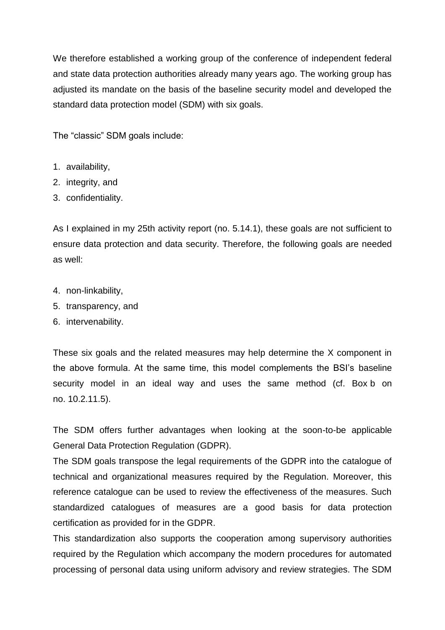We therefore established a working group of the conference of independent federal and state data protection authorities already many years ago. The working group has adjusted its mandate on the basis of the baseline security model and developed the standard data protection model (SDM) with six goals.

The "classic" SDM goals include:

- 1. availability,
- 2. integrity, and
- 3. confidentiality.

As I explained in my 25th activity report (no. 5.14.1), these goals are not sufficient to ensure data protection and data security. Therefore, the following goals are needed as well:

- 4. non-linkability,
- 5. transparency, and
- 6. intervenability.

These six goals and the related measures may help determine the X component in the above formula. At the same time, this model complements the BSI's baseline security model in an ideal way and uses the same method (cf. Box b on no. 10.2.11.5).

The SDM offers further advantages when looking at the soon-to-be applicable General Data Protection Regulation (GDPR).

The SDM goals transpose the legal requirements of the GDPR into the catalogue of technical and organizational measures required by the Regulation. Moreover, this reference catalogue can be used to review the effectiveness of the measures. Such standardized catalogues of measures are a good basis for data protection certification as provided for in the GDPR.

This standardization also supports the cooperation among supervisory authorities required by the Regulation which accompany the modern procedures for automated processing of personal data using uniform advisory and review strategies. The SDM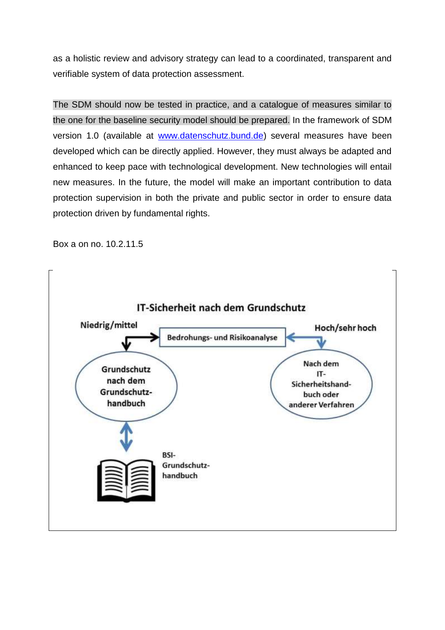as a holistic review and advisory strategy can lead to a coordinated, transparent and verifiable system of data protection assessment.

The SDM should now be tested in practice, and a catalogue of measures similar to the one for the baseline security model should be prepared. In the framework of SDM version 1.0 (available at [www.datenschutz.bund.de\)](http://www.datenschutz.bund.de/) several measures have been developed which can be directly applied. However, they must always be adapted and enhanced to keep pace with technological development. New technologies will entail new measures. In the future, the model will make an important contribution to data protection supervision in both the private and public sector in order to ensure data protection driven by fundamental rights.

Box a on no. 10.2.11.5

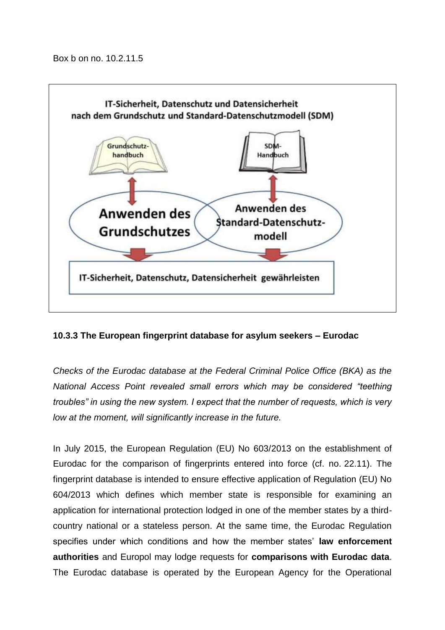Box b on no. 10.2.11.5



## **10.3.3 The European fingerprint database for asylum seekers – Eurodac**

*Checks of the Eurodac database at the Federal Criminal Police Office (BKA) as the National Access Point revealed small errors which may be considered "teething troubles" in using the new system. I expect that the number of requests, which is very low at the moment, will significantly increase in the future.*

In July 2015, the European Regulation (EU) No 603/2013 on the establishment of Eurodac for the comparison of fingerprints entered into force (cf. no. 22.11). The fingerprint database is intended to ensure effective application of Regulation (EU) No 604/2013 which defines which member state is responsible for examining an application for international protection lodged in one of the member states by a thirdcountry national or a stateless person. At the same time, the Eurodac Regulation specifies under which conditions and how the member states' **law enforcement authorities** and Europol may lodge requests for **comparisons with Eurodac data**. The Eurodac database is operated by the European Agency for the Operational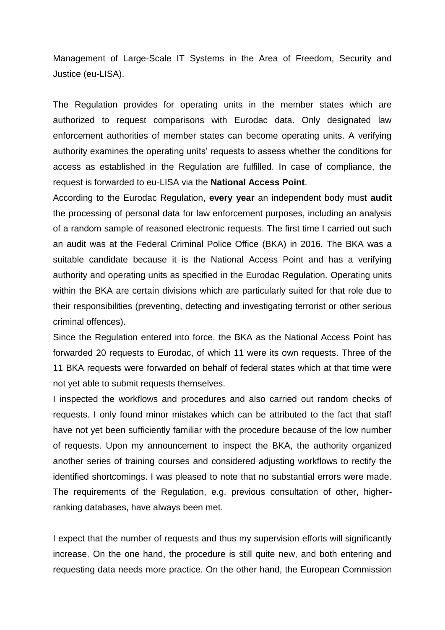Management of Large-Scale IT Systems in the Area of Freedom, Security and Justice (eu-LISA).

The Regulation provides for operating units in the member states which are authorized to request comparisons with Eurodac data. Only designated law enforcement authorities of member states can become operating units. A verifying authority examines the operating units' requests to assess whether the conditions for access as established in the Regulation are fulfilled. In case of compliance, the request is forwarded to eu-LISA via the **National Access Point**.

According to the Eurodac Regulation, **every year** an independent body must **audit** the processing of personal data for law enforcement purposes, including an analysis of a random sample of reasoned electronic requests. The first time I carried out such an audit was at the Federal Criminal Police Office (BKA) in 2016. The BKA was a suitable candidate because it is the National Access Point and has a verifying authority and operating units as specified in the Eurodac Regulation. Operating units within the BKA are certain divisions which are particularly suited for that role due to their responsibilities (preventing, detecting and investigating terrorist or other serious criminal offences).

Since the Regulation entered into force, the BKA as the National Access Point has forwarded 20 requests to Eurodac, of which 11 were its own requests. Three of the 11 BKA requests were forwarded on behalf of federal states which at that time were not yet able to submit requests themselves.

I inspected the workflows and procedures and also carried out random checks of requests. I only found minor mistakes which can be attributed to the fact that staff have not yet been sufficiently familiar with the procedure because of the low number of requests. Upon my announcement to inspect the BKA, the authority organized another series of training courses and considered adjusting workflows to rectify the identified shortcomings. I was pleased to note that no substantial errors were made. The requirements of the Regulation, e.g. previous consultation of other, higherranking databases, have always been met.

I expect that the number of requests and thus my supervision efforts will significantly increase. On the one hand, the procedure is still quite new, and both entering and requesting data needs more practice. On the other hand, the European Commission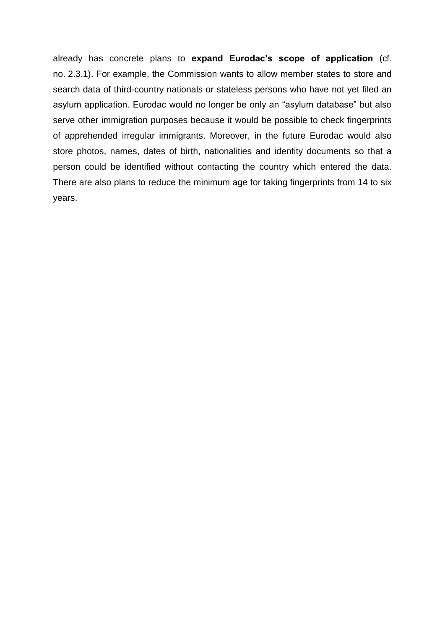already has concrete plans to **expand Eurodac's scope of application** (cf. no. 2.3.1). For example, the Commission wants to allow member states to store and search data of third-country nationals or stateless persons who have not yet filed an asylum application. Eurodac would no longer be only an "asylum database" but also serve other immigration purposes because it would be possible to check fingerprints of apprehended irregular immigrants. Moreover, in the future Eurodac would also store photos, names, dates of birth, nationalities and identity documents so that a person could be identified without contacting the country which entered the data. There are also plans to reduce the minimum age for taking fingerprints from 14 to six years.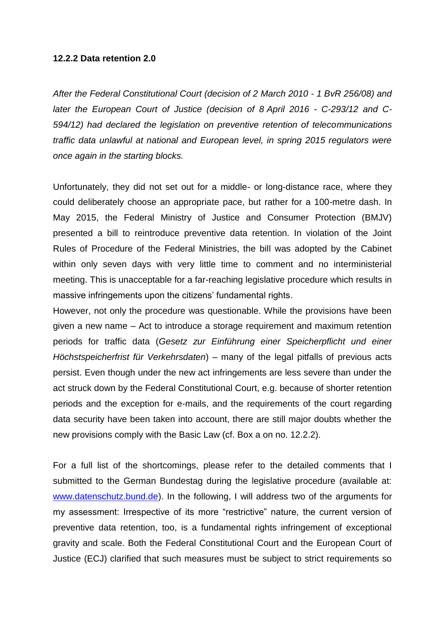#### **12.2.2 Data retention 2.0**

*After the Federal Constitutional Court (decision of 2 March 2010 - 1 BvR 256/08) and later the European Court of Justice (decision of 8 April 2016 - C-293/12 and C-594/12) had declared the legislation on preventive retention of telecommunications traffic data unlawful at national and European level, in spring 2015 regulators were once again in the starting blocks.*

Unfortunately, they did not set out for a middle- or long-distance race, where they could deliberately choose an appropriate pace, but rather for a 100-metre dash. In May 2015, the Federal Ministry of Justice and Consumer Protection (BMJV) presented a bill to reintroduce preventive data retention. In violation of the Joint Rules of Procedure of the Federal Ministries, the bill was adopted by the Cabinet within only seven days with very little time to comment and no interministerial meeting. This is unacceptable for a far-reaching legislative procedure which results in massive infringements upon the citizens' fundamental rights.

However, not only the procedure was questionable. While the provisions have been given a new name – Act to introduce a storage requirement and maximum retention periods for traffic data (*Gesetz zur Einführung einer Speicherpflicht und einer Höchstspeicherfrist für Verkehrsdaten*) – many of the legal pitfalls of previous acts persist. Even though under the new act infringements are less severe than under the act struck down by the Federal Constitutional Court, e.g. because of shorter retention periods and the exception for e-mails, and the requirements of the court regarding data security have been taken into account, there are still major doubts whether the new provisions comply with the Basic Law (cf. Box a on no. 12.2.2).

For a full list of the shortcomings, please refer to the detailed comments that I submitted to the German Bundestag during the legislative procedure (available at: [www.datenschutz.bund.de\)](http://www.datenschutz.bund.de/). In the following, I will address two of the arguments for my assessment: Irrespective of its more "restrictive" nature, the current version of preventive data retention, too, is a fundamental rights infringement of exceptional gravity and scale. Both the Federal Constitutional Court and the European Court of Justice (ECJ) clarified that such measures must be subject to strict requirements so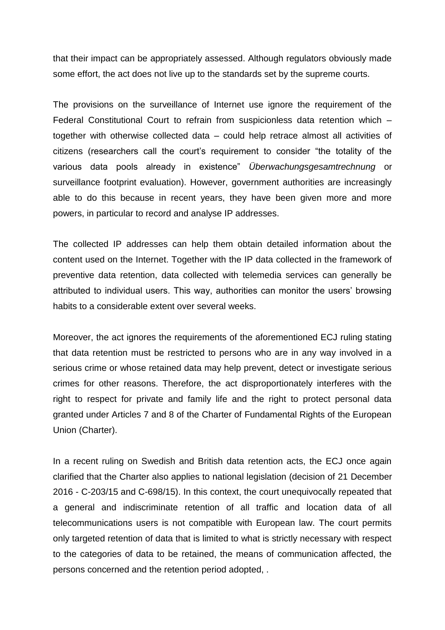that their impact can be appropriately assessed. Although regulators obviously made some effort, the act does not live up to the standards set by the supreme courts.

The provisions on the surveillance of Internet use ignore the requirement of the Federal Constitutional Court to refrain from suspicionless data retention which – together with otherwise collected data – could help retrace almost all activities of citizens (researchers call the court's requirement to consider "the totality of the various data pools already in existence" *Überwachungsgesamtrechnung* or surveillance footprint evaluation). However, government authorities are increasingly able to do this because in recent years, they have been given more and more powers, in particular to record and analyse IP addresses.

The collected IP addresses can help them obtain detailed information about the content used on the Internet. Together with the IP data collected in the framework of preventive data retention, data collected with telemedia services can generally be attributed to individual users. This way, authorities can monitor the users' browsing habits to a considerable extent over several weeks.

Moreover, the act ignores the requirements of the aforementioned ECJ ruling stating that data retention must be restricted to persons who are in any way involved in a serious crime or whose retained data may help prevent, detect or investigate serious crimes for other reasons. Therefore, the act disproportionately interferes with the right to respect for private and family life and the right to protect personal data granted under Articles 7 and 8 of the Charter of Fundamental Rights of the European Union (Charter).

In a recent ruling on Swedish and British data retention acts, the ECJ once again clarified that the Charter also applies to national legislation (decision of 21 December 2016 - C-203/15 and C-698/15). In this context, the court unequivocally repeated that a general and indiscriminate retention of all traffic and location data of all telecommunications users is not compatible with European law. The court permits only targeted retention of data that is limited to what is strictly necessary with respect to the categories of data to be retained, the means of communication affected, the persons concerned and the retention period adopted, .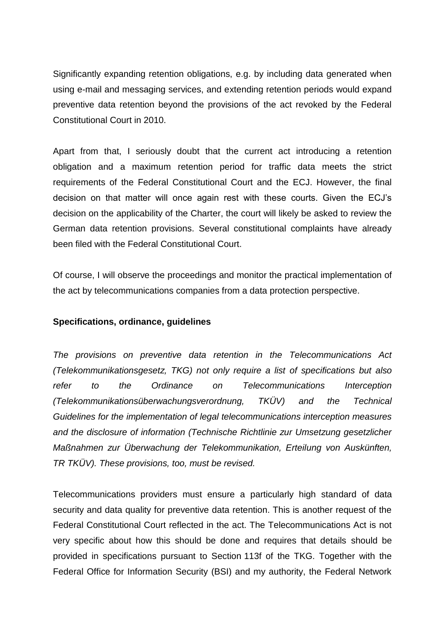Significantly expanding retention obligations, e.g. by including data generated when using e-mail and messaging services, and extending retention periods would expand preventive data retention beyond the provisions of the act revoked by the Federal Constitutional Court in 2010.

Apart from that, I seriously doubt that the current act introducing a retention obligation and a maximum retention period for traffic data meets the strict requirements of the Federal Constitutional Court and the ECJ. However, the final decision on that matter will once again rest with these courts. Given the ECJ's decision on the applicability of the Charter, the court will likely be asked to review the German data retention provisions. Several constitutional complaints have already been filed with the Federal Constitutional Court.

Of course, I will observe the proceedings and monitor the practical implementation of the act by telecommunications companies from a data protection perspective.

## **Specifications, ordinance, guidelines**

*The provisions on preventive data retention in the Telecommunications Act (Telekommunikationsgesetz, TKG) not only require a list of specifications but also refer to the Ordinance on Telecommunications Interception (Telekommunikationsüberwachungsverordnung, TKÜV) and the Technical Guidelines for the implementation of legal telecommunications interception measures and the disclosure of information (Technische Richtlinie zur Umsetzung gesetzlicher Maßnahmen zur Überwachung der Telekommunikation, Erteilung von Auskünften, TR TKÜV). These provisions, too, must be revised.*

Telecommunications providers must ensure a particularly high standard of data security and data quality for preventive data retention. This is another request of the Federal Constitutional Court reflected in the act. The Telecommunications Act is not very specific about how this should be done and requires that details should be provided in specifications pursuant to Section 113f of the TKG. Together with the Federal Office for Information Security (BSI) and my authority, the Federal Network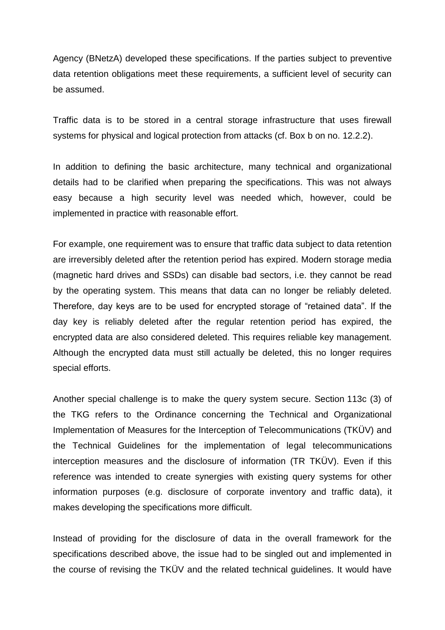Agency (BNetzA) developed these specifications. If the parties subject to preventive data retention obligations meet these requirements, a sufficient level of security can be assumed.

Traffic data is to be stored in a central storage infrastructure that uses firewall systems for physical and logical protection from attacks (cf. Box b on no. 12.2.2).

In addition to defining the basic architecture, many technical and organizational details had to be clarified when preparing the specifications. This was not always easy because a high security level was needed which, however, could be implemented in practice with reasonable effort.

For example, one requirement was to ensure that traffic data subject to data retention are irreversibly deleted after the retention period has expired. Modern storage media (magnetic hard drives and SSDs) can disable bad sectors, i.e. they cannot be read by the operating system. This means that data can no longer be reliably deleted. Therefore, day keys are to be used for encrypted storage of "retained data". If the day key is reliably deleted after the regular retention period has expired, the encrypted data are also considered deleted. This requires reliable key management. Although the encrypted data must still actually be deleted, this no longer requires special efforts.

Another special challenge is to make the query system secure. Section 113c (3) of the TKG refers to the Ordinance concerning the Technical and Organizational Implementation of Measures for the Interception of Telecommunications (TKÜV) and the Technical Guidelines for the implementation of legal telecommunications interception measures and the disclosure of information (TR TKÜV). Even if this reference was intended to create synergies with existing query systems for other information purposes (e.g. disclosure of corporate inventory and traffic data), it makes developing the specifications more difficult.

Instead of providing for the disclosure of data in the overall framework for the specifications described above, the issue had to be singled out and implemented in the course of revising the TKÜV and the related technical guidelines. It would have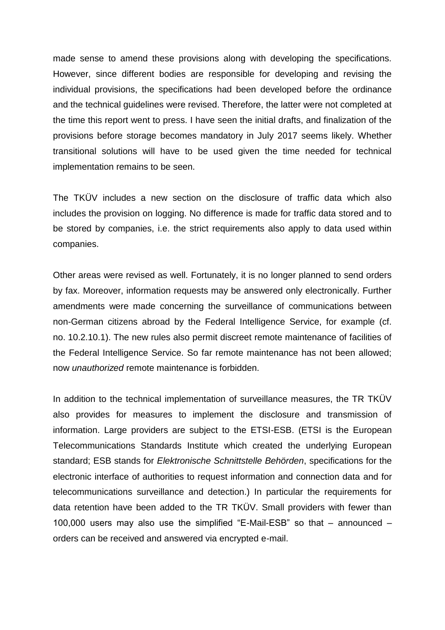made sense to amend these provisions along with developing the specifications. However, since different bodies are responsible for developing and revising the individual provisions, the specifications had been developed before the ordinance and the technical guidelines were revised. Therefore, the latter were not completed at the time this report went to press. I have seen the initial drafts, and finalization of the provisions before storage becomes mandatory in July 2017 seems likely. Whether transitional solutions will have to be used given the time needed for technical implementation remains to be seen.

The TKÜV includes a new section on the disclosure of traffic data which also includes the provision on logging. No difference is made for traffic data stored and to be stored by companies, i.e. the strict requirements also apply to data used within companies.

Other areas were revised as well. Fortunately, it is no longer planned to send orders by fax. Moreover, information requests may be answered only electronically. Further amendments were made concerning the surveillance of communications between non-German citizens abroad by the Federal Intelligence Service, for example (cf. no. 10.2.10.1). The new rules also permit discreet remote maintenance of facilities of the Federal Intelligence Service. So far remote maintenance has not been allowed; now *unauthorized* remote maintenance is forbidden.

In addition to the technical implementation of surveillance measures, the TR TKÜV also provides for measures to implement the disclosure and transmission of information. Large providers are subject to the ETSI-ESB. (ETSI is the European Telecommunications Standards Institute which created the underlying European standard; ESB stands for *Elektronische Schnittstelle Behörden*, specifications for the electronic interface of authorities to request information and connection data and for telecommunications surveillance and detection.) In particular the requirements for data retention have been added to the TR TKÜV. Small providers with fewer than 100,000 users may also use the simplified "E-Mail-ESB" so that – announced – orders can be received and answered via encrypted e-mail.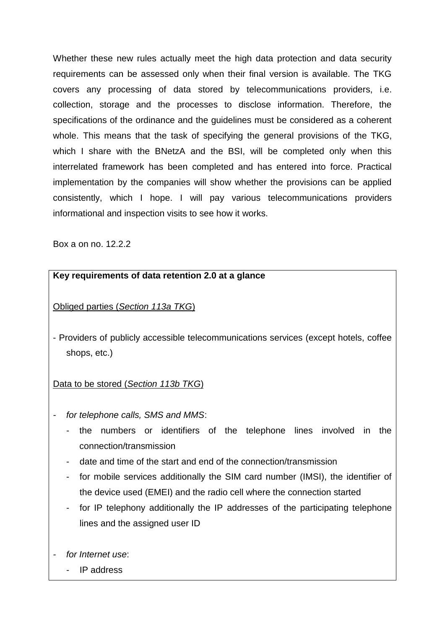Whether these new rules actually meet the high data protection and data security requirements can be assessed only when their final version is available. The TKG covers any processing of data stored by telecommunications providers, i.e. collection, storage and the processes to disclose information. Therefore, the specifications of the ordinance and the guidelines must be considered as a coherent whole. This means that the task of specifying the general provisions of the TKG, which I share with the BNetzA and the BSI, will be completed only when this interrelated framework has been completed and has entered into force. Practical implementation by the companies will show whether the provisions can be applied consistently, which I hope. I will pay various telecommunications providers informational and inspection visits to see how it works.

Box a on no. 12.2.2

## **Key requirements of data retention 2.0 at a glance**

Obliged parties (*Section 113a TKG*)

- Providers of publicly accessible telecommunications services (except hotels, coffee shops, etc.)

## Data to be stored (*Section 113b TKG*)

- *- for telephone calls, SMS and MMS*:
	- the numbers or identifiers of the telephone lines involved in the connection/transmission
	- date and time of the start and end of the connection/transmission
	- for mobile services additionally the SIM card number (IMSI), the identifier of the device used (EMEI) and the radio cell where the connection started
	- for IP telephony additionally the IP addresses of the participating telephone lines and the assigned user ID
- *- for Internet use*:
	- IP address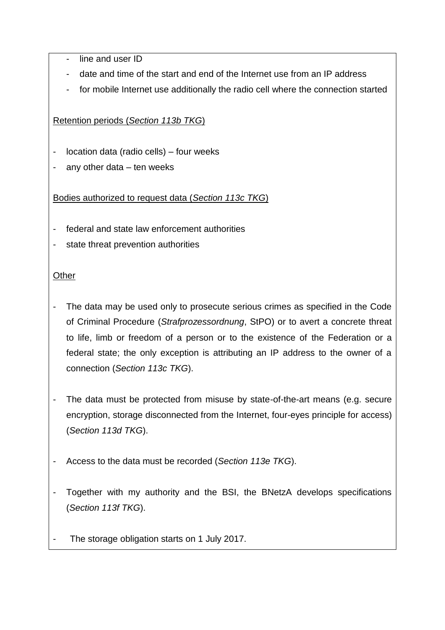line and user ID

- date and time of the start and end of the Internet use from an IP address
- for mobile Internet use additionally the radio cell where the connection started

Retention periods (*Section 113b TKG*)

- location data (radio cells) four weeks
- any other data  $-$  ten weeks

Bodies authorized to request data (*Section 113c TKG*)

- federal and state law enforcement authorities
- state threat prevention authorities

## **Other**

- The data may be used only to prosecute serious crimes as specified in the Code of Criminal Procedure (*Strafprozessordnung*, StPO) or to avert a concrete threat to life, limb or freedom of a person or to the existence of the Federation or a federal state; the only exception is attributing an IP address to the owner of a connection (*Section 113c TKG*).
- The data must be protected from misuse by state-of-the-art means (e.g. secure encryption, storage disconnected from the Internet, four-eyes principle for access) (*Section 113d TKG*).
- Access to the data must be recorded (*Section 113e TKG*).
- Together with my authority and the BSI, the BNetzA develops specifications (*Section 113f TKG*).
- The storage obligation starts on 1 July 2017.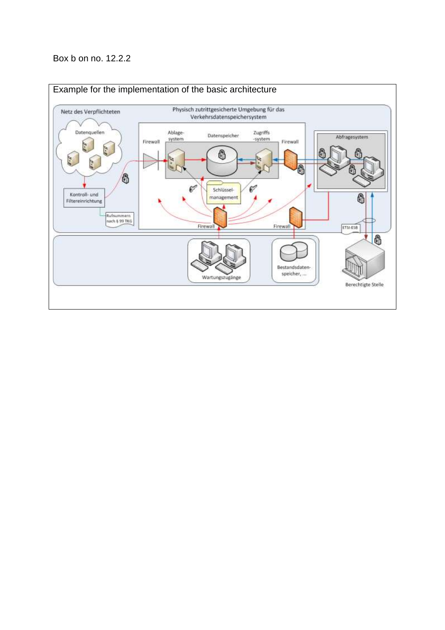## Box b on no. 12.2.2

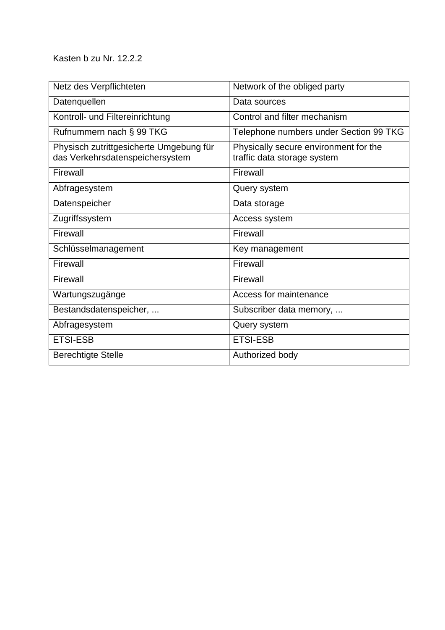Kasten b zu Nr. 12.2.2

| Netz des Verpflichteten                                                    | Network of the obliged party                                         |
|----------------------------------------------------------------------------|----------------------------------------------------------------------|
| Datenquellen                                                               | Data sources                                                         |
| Kontroll- und Filtereinrichtung                                            | Control and filter mechanism                                         |
| Rufnummern nach § 99 TKG                                                   | Telephone numbers under Section 99 TKG                               |
| Physisch zutrittgesicherte Umgebung für<br>das Verkehrsdatenspeichersystem | Physically secure environment for the<br>traffic data storage system |
| Firewall                                                                   | Firewall                                                             |
| Abfragesystem                                                              | Query system                                                         |
| Datenspeicher                                                              | Data storage                                                         |
| Zugriffssystem                                                             | Access system                                                        |
| Firewall                                                                   | Firewall                                                             |
| Schlüsselmanagement                                                        | Key management                                                       |
| Firewall                                                                   | Firewall                                                             |
| Firewall                                                                   | Firewall                                                             |
| Wartungszugänge                                                            | Access for maintenance                                               |
| Bestandsdatenspeicher,                                                     | Subscriber data memory,                                              |
| Abfragesystem                                                              | Query system                                                         |
| <b>ETSI-ESB</b>                                                            | <b>ETSI-ESB</b>                                                      |
| <b>Berechtigte Stelle</b>                                                  | Authorized body                                                      |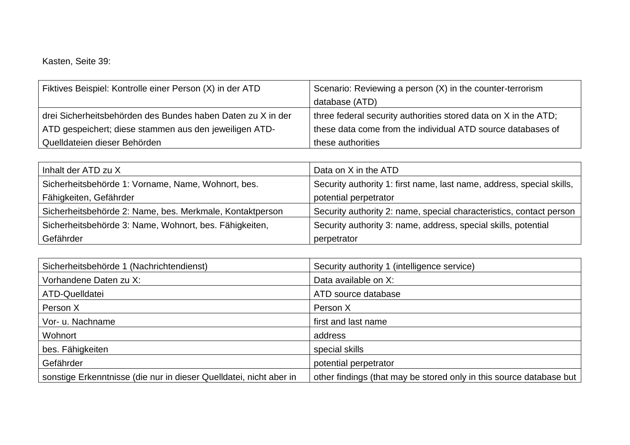Kasten, Seite 39:

| Fiktives Beispiel: Kontrolle einer Person (X) in der ATD    | Scenario: Reviewing a person (X) in the counter-terrorism       |
|-------------------------------------------------------------|-----------------------------------------------------------------|
|                                                             | database (ATD)                                                  |
| drei Sicherheitsbehörden des Bundes haben Daten zu X in der | three federal security authorities stored data on X in the ATD; |
| ATD gespeichert; diese stammen aus den jeweiligen ATD-      | these data come from the individual ATD source databases of     |
| Quelldateien dieser Behörden                                | these authorities                                               |

| Inhalt der ATD zu X                                      | Data on X in the ATD                                                  |
|----------------------------------------------------------|-----------------------------------------------------------------------|
| Sicherheitsbehörde 1: Vorname, Name, Wohnort, bes.       | Security authority 1: first name, last name, address, special skills, |
| Fähigkeiten, Gefährder                                   | potential perpetrator                                                 |
| Sicherheitsbehörde 2: Name, bes. Merkmale, Kontaktperson | Security authority 2: name, special characteristics, contact person   |
| Sicherheitsbehörde 3: Name, Wohnort, bes. Fähigkeiten,   | Security authority 3: name, address, special skills, potential        |
| Gefährder                                                | perpetrator                                                           |

| Sicherheitsbehörde 1 (Nachrichtendienst)                           | Security authority 1 (intelligence service)                         |
|--------------------------------------------------------------------|---------------------------------------------------------------------|
| Vorhandene Daten zu X:                                             | Data available on X:                                                |
| ATD-Quelldatei                                                     | ATD source database                                                 |
| Person X                                                           | Person X                                                            |
| Vor- u. Nachname                                                   | first and last name                                                 |
| Wohnort                                                            | address                                                             |
| bes. Fähigkeiten                                                   | special skills                                                      |
| Gefährder                                                          | potential perpetrator                                               |
| sonstige Erkenntnisse (die nur in dieser Quelldatei, nicht aber in | other findings (that may be stored only in this source database but |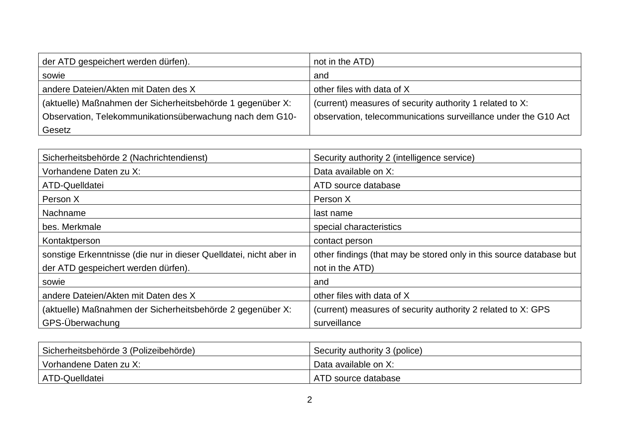| der ATD gespeichert werden dürfen).                        | not in the ATD)                                                |
|------------------------------------------------------------|----------------------------------------------------------------|
| sowie                                                      | and                                                            |
| andere Dateien/Akten mit Daten des X                       | other files with data of X                                     |
| (aktuelle) Maßnahmen der Sicherheitsbehörde 1 gegenüber X: | (current) measures of security authority 1 related to X:       |
| Observation, Telekommunikationsüberwachung nach dem G10-   | observation, telecommunications surveillance under the G10 Act |
| Gesetz                                                     |                                                                |

| Sicherheitsbehörde 2 (Nachrichtendienst)                           | Security authority 2 (intelligence service)                         |
|--------------------------------------------------------------------|---------------------------------------------------------------------|
| Vorhandene Daten zu X:                                             | Data available on X:                                                |
| ATD-Quelldatei                                                     | ATD source database                                                 |
| Person X                                                           | Person X                                                            |
| Nachname                                                           | last name                                                           |
| bes. Merkmale                                                      | special characteristics                                             |
| Kontaktperson                                                      | contact person                                                      |
| sonstige Erkenntnisse (die nur in dieser Quelldatei, nicht aber in | other findings (that may be stored only in this source database but |
| der ATD gespeichert werden dürfen).                                | not in the ATD)                                                     |
| sowie                                                              | and                                                                 |
| andere Dateien/Akten mit Daten des X                               | other files with data of X                                          |
| (aktuelle) Maßnahmen der Sicherheitsbehörde 2 gegenüber X:         | (current) measures of security authority 2 related to X: GPS        |
| GPS-Überwachung                                                    | surveillance                                                        |

| Sicherheitsbehörde 3 (Polizeibehörde) | Security authority 3 (police) |
|---------------------------------------|-------------------------------|
| Vorhandene Daten zu X:                | Data available on X:          |
| ATD-Quelldatei                        | ATD source database           |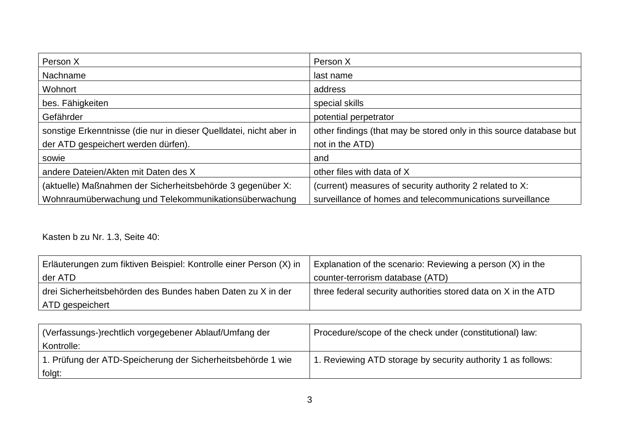| Person X                                                           | Person X                                                            |
|--------------------------------------------------------------------|---------------------------------------------------------------------|
| Nachname                                                           | last name                                                           |
| Wohnort                                                            | address                                                             |
| bes. Fähigkeiten                                                   | special skills                                                      |
| Gefährder                                                          | potential perpetrator                                               |
| sonstige Erkenntnisse (die nur in dieser Quelldatei, nicht aber in | other findings (that may be stored only in this source database but |
| der ATD gespeichert werden dürfen).                                | not in the ATD)                                                     |
| sowie                                                              | and                                                                 |
| andere Dateien/Akten mit Daten des X                               | other files with data of X                                          |
| (aktuelle) Maßnahmen der Sicherheitsbehörde 3 gegenüber X:         | (current) measures of security authority 2 related to X:            |
| Wohnraumüberwachung und Telekommunikationsüberwachung              | surveillance of homes and telecommunications surveillance           |

Kasten b zu Nr. 1.3, Seite 40:

| Erläuterungen zum fiktiven Beispiel: Kontrolle einer Person (X) in | Explanation of the scenario: Reviewing a person (X) in the     |
|--------------------------------------------------------------------|----------------------------------------------------------------|
| der ATD                                                            | counter-terrorism database (ATD)                               |
| drei Sicherheitsbehörden des Bundes haben Daten zu X in der        | three federal security authorities stored data on X in the ATD |
| ATD gespeichert                                                    |                                                                |

| Verfassungs-)rechtlich vorgegebener Ablauf/Umfang der       | Procedure/scope of the check under (constitutional) law:     |
|-------------------------------------------------------------|--------------------------------------------------------------|
| Kontrolle:                                                  |                                                              |
| 1. Prüfung der ATD-Speicherung der Sicherheitsbehörde 1 wie | 1. Reviewing ATD storage by security authority 1 as follows: |
| folgt:                                                      |                                                              |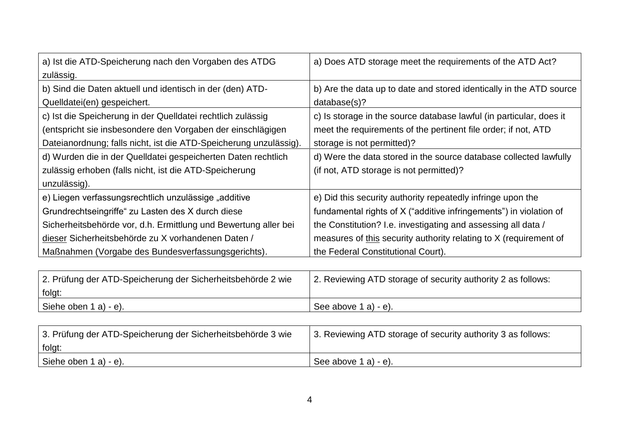| a) Ist die ATD-Speicherung nach den Vorgaben des ATDG             | a) Does ATD storage meet the requirements of the ATD Act?           |
|-------------------------------------------------------------------|---------------------------------------------------------------------|
| zulässig.                                                         |                                                                     |
| b) Sind die Daten aktuell und identisch in der (den) ATD-         | b) Are the data up to date and stored identically in the ATD source |
| Quelldatei(en) gespeichert.                                       | database(s)?                                                        |
| c) Ist die Speicherung in der Quelldatei rechtlich zulässig       | c) Is storage in the source database lawful (in particular, does it |
| (entspricht sie insbesondere den Vorgaben der einschlägigen       | meet the requirements of the pertinent file order; if not, ATD      |
| Dateianordnung; falls nicht, ist die ATD-Speicherung unzulässig). | storage is not permitted)?                                          |
| d) Wurden die in der Quelldatei gespeicherten Daten rechtlich     | d) Were the data stored in the source database collected lawfully   |
| zulässig erhoben (falls nicht, ist die ATD-Speicherung            | (if not, ATD storage is not permitted)?                             |
| unzulässig).                                                      |                                                                     |
| e) Liegen verfassungsrechtlich unzulässige "additive              | e) Did this security authority repeatedly infringe upon the         |
| Grundrechtseingriffe" zu Lasten des X durch diese                 | fundamental rights of X ("additive infringements") in violation of  |
| Sicherheitsbehörde vor, d.h. Ermittlung und Bewertung aller bei   | the Constitution? I.e. investigating and assessing all data /       |
| dieser Sicherheitsbehörde zu X vorhandenen Daten /                | measures of this security authority relating to X (requirement of   |
| Maßnahmen (Vorgabe des Bundesverfassungsgerichts).                | the Federal Constitutional Court).                                  |

| 2. Prüfung der ATD-Speicherung der Sicherheitsbehörde 2 wie | 2. Reviewing ATD storage of security authority 2 as follows: |
|-------------------------------------------------------------|--------------------------------------------------------------|
| folgt:                                                      |                                                              |
| Siehe oben $1$ a) - e).                                     | See above 1 a) - e).                                         |

| 3. Prüfung der ATD-Speicherung der Sicherheitsbehörde 3 wie | 3. Reviewing ATD storage of security authority 3 as follows: |
|-------------------------------------------------------------|--------------------------------------------------------------|
| folgt:                                                      |                                                              |
| Siehe oben 1 a) - e).                                       | See above $1$ a) - e).                                       |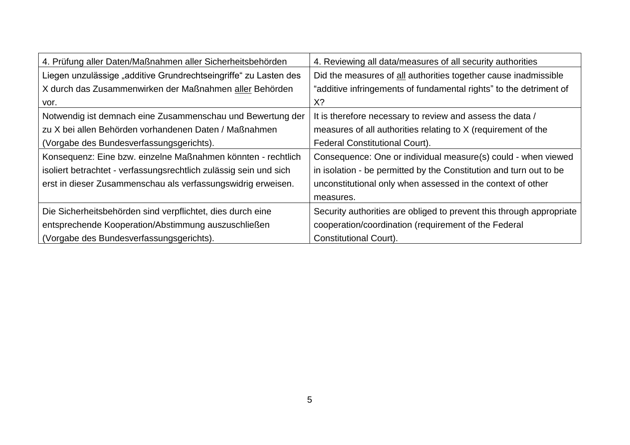| 4. Prüfung aller Daten/Maßnahmen aller Sicherheitsbehörden        | 4. Reviewing all data/measures of all security authorities           |
|-------------------------------------------------------------------|----------------------------------------------------------------------|
| Liegen unzulässige "additive Grundrechtseingriffe" zu Lasten des  | Did the measures of all authorities together cause inadmissible      |
| X durch das Zusammenwirken der Maßnahmen aller Behörden           | "additive infringements of fundamental rights" to the detriment of   |
| vor.                                                              | X?                                                                   |
| Notwendig ist demnach eine Zusammenschau und Bewertung der        | It is therefore necessary to review and assess the data /            |
| zu X bei allen Behörden vorhandenen Daten / Maßnahmen             | measures of all authorities relating to X (requirement of the        |
| (Vorgabe des Bundesverfassungsgerichts).                          | Federal Constitutional Court).                                       |
| Konsequenz: Eine bzw. einzelne Maßnahmen könnten - rechtlich      | Consequence: One or individual measure(s) could - when viewed        |
| isoliert betrachtet - verfassungsrechtlich zulässig sein und sich | in isolation - be permitted by the Constitution and turn out to be   |
| erst in dieser Zusammenschau als verfassungswidrig erweisen.      | unconstitutional only when assessed in the context of other          |
|                                                                   | measures.                                                            |
| Die Sicherheitsbehörden sind verpflichtet, dies durch eine        | Security authorities are obliged to prevent this through appropriate |
| entsprechende Kooperation/Abstimmung auszuschließen               | cooperation/coordination (requirement of the Federal                 |
| (Vorgabe des Bundesverfassungsgerichts).                          | Constitutional Court).                                               |